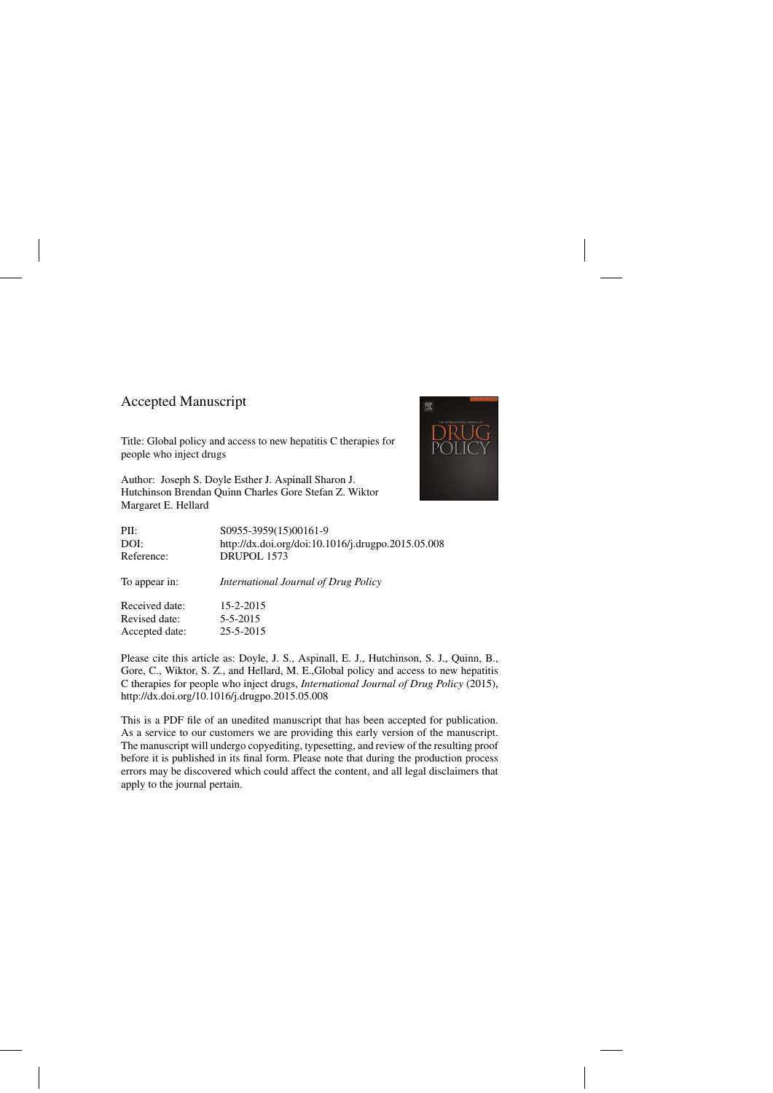## Accepted Manuscript

Title: Global policy and access to new hepatitis C therapies for people who inject drugs

Author: Joseph S. Doyle Esther J. Aspinall Sharon J. Hutchinson Brendan Quinn Charles Gore Stefan Z. Wiktor Margaret E. Hellard



| PII:           | S0955-3959(15)00161-9                              |
|----------------|----------------------------------------------------|
| DOI:           | http://dx.doi.org/doi:10.1016/j.drugpo.2015.05.008 |
| Reference:     | DRUPOL 1573                                        |
| To appear in:  | International Journal of Drug Policy               |
| Received date: | $15 - 2 - 2015$                                    |
| Revised date:  | $5 - 5 - 2015$                                     |
| Accepted date: | 25-5-2015                                          |
|                |                                                    |

Please cite this article as: Doyle, J. S., Aspinall, E. J., Hutchinson, S. J., Quinn, B., Gore, C., Wiktor, S. Z., and Hellard, M. E.,Global policy and access to new hepatitis C therapies for people who inject drugs, *International Journal of Drug Policy* (2015), <http://dx.doi.org/10.1016/j.drugpo.2015.05.008>

This is a PDF file of an unedited manuscript that has been accepted for publication. As a service to our customers we are providing this early version of the manuscript. The manuscript will undergo copyediting, typesetting, and review of the resulting proof before it is published in its final form. Please note that during the production process errors may be discovered which could affect the content, and all legal disclaimers that apply to the journal pertain.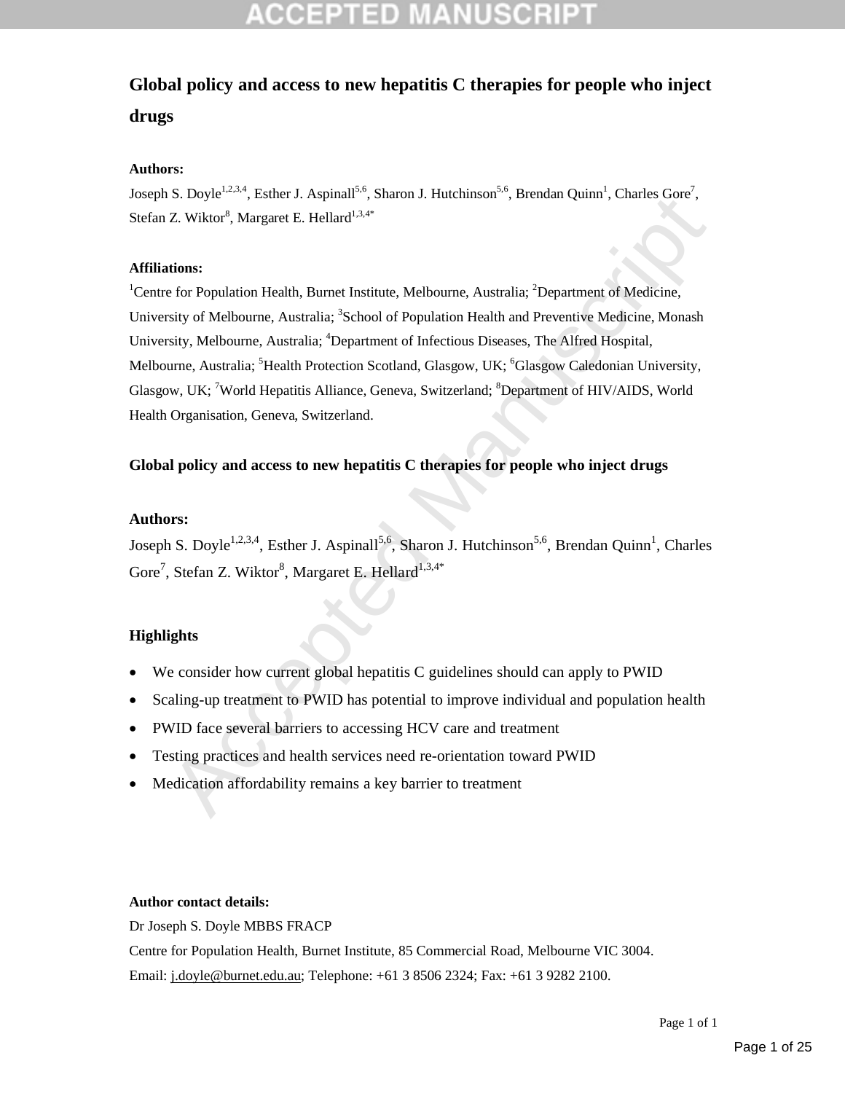## **Global policy and access to new hepatitis C therapies for people who inject drugs**

#### **Authors:**

Joseph S. Doyle<sup>1,2,3,4</sup>, Esther J. Aspinall<sup>5,6</sup>, Sharon J. Hutchinson<sup>5,6</sup>, Brendan Quinn<sup>1</sup>, Charles Gore<sup>7</sup>, Stefan Z. Wiktor<sup>8</sup>, Margaret E. Hellard<sup>1,3,4\*</sup>

#### **Affiliations:**

15. Doyte<sup>2</sup>, Essuel 3. Aspinan<sup>2</sup>, Saloud 3. Indefinition 1, Detenant Quinn<sup>2</sup>, Calculate Sove 2, Wiktor<sup>3</sup>, Margaret E. Hellard<sup>13,46</sup><br>
27. Wiktor<sup>3</sup>, Margaret E. Hellard<sup>13,46</sup><br>
totions:<br>
Action Health, Burnet Institut <sup>1</sup>Centre for Population Health, Burnet Institute, Melbourne, Australia; <sup>2</sup>Department of Medicine, University of Melbourne, Australia; <sup>3</sup>School of Population Health and Preventive Medicine, Monash University, Melbourne, Australia; <sup>4</sup>Department of Infectious Diseases, The Alfred Hospital, Melbourne, Australia; <sup>5</sup>Health Protection Scotland, Glasgow, UK; <sup>6</sup>Glasgow Caledonian University, Glasgow, UK; <sup>7</sup>World Hepatitis Alliance, Geneva, Switzerland; <sup>8</sup>Department of HIV/AIDS, World Health Organisation, Geneva, Switzerland.

#### **Global policy and access to new hepatitis C therapies for people who inject drugs**

#### **Authors:**

Joseph S. Doyle<sup>1,2,3,4</sup>, Esther J. Aspinall<sup>5,6</sup>, Sharon J. Hutchinson<sup>5,6</sup>, Brendan Quinn<sup>1</sup>, Charles Gore<sup>7</sup>, Stefan Z. Wiktor<sup>8</sup>, Margaret E. Hellard<sup>1,3,4\*</sup>

### **Highlights**

- We consider how current global hepatitis C guidelines should can apply to PWID
- Scaling-up treatment to PWID has potential to improve individual and population health
- PWID face several barriers to accessing HCV care and treatment
- Testing practices and health services need re-orientation toward PWID
- Medication affordability remains a key barrier to treatment

#### **Author contact details:**

Dr Joseph S. Doyle MBBS FRACP Centre for Population Health, Burnet Institute, 85 Commercial Road, Melbourne VIC 3004. Email: j.doyle@burnet.edu.au; Telephone: +61 3 8506 2324; Fax: +61 3 9282 2100.

Page 1 of 1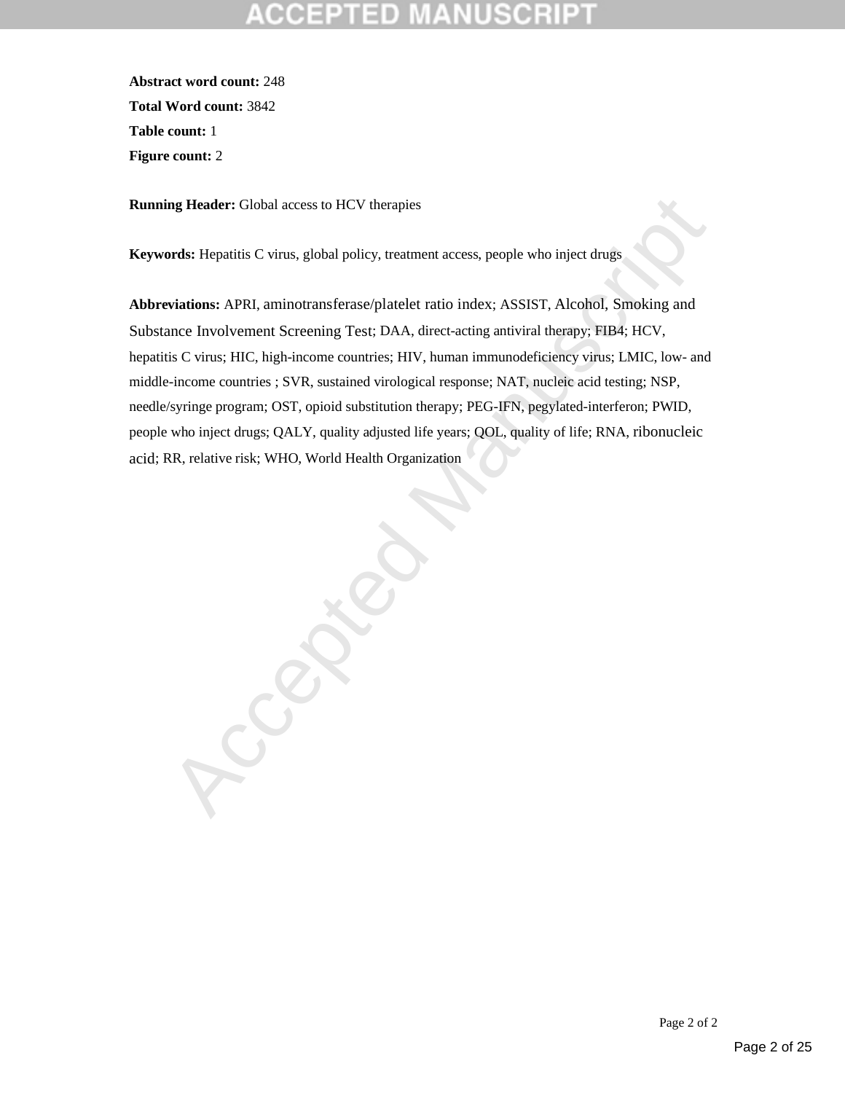**Abstract word count:** 248 **Total Word count:** 3842 **Table count:** 1 **Figure count:** 2

**Running Header:** Global access to HCV therapies

**Keywords:** Hepatitis C virus, global policy, treatment access, people who inject drugs

**Abbreviations:** APRI, aminotransferase/platelet ratio index; ASSIST, Alcohol, Smoking and Substance Involvement Screening Test; DAA, direct-acting antiviral therapy; FIB4; HCV, hepatitis C virus; HIC, high-income countries; HIV, human immunodeficiency virus; LMIC, low- and middle-income countries ; SVR, sustained virological response; NAT, nucleic acid testing; NSP, needle/syringe program; OST, opioid substitution therapy; PEG-IFN, pegylated-interferon; PWID, people who inject drugs; QALY, quality adjusted life years; QOL, quality of life; RNA, ribonucleic acid; RR, relative risk; WHO, World Health Organization

Caccia Manuscript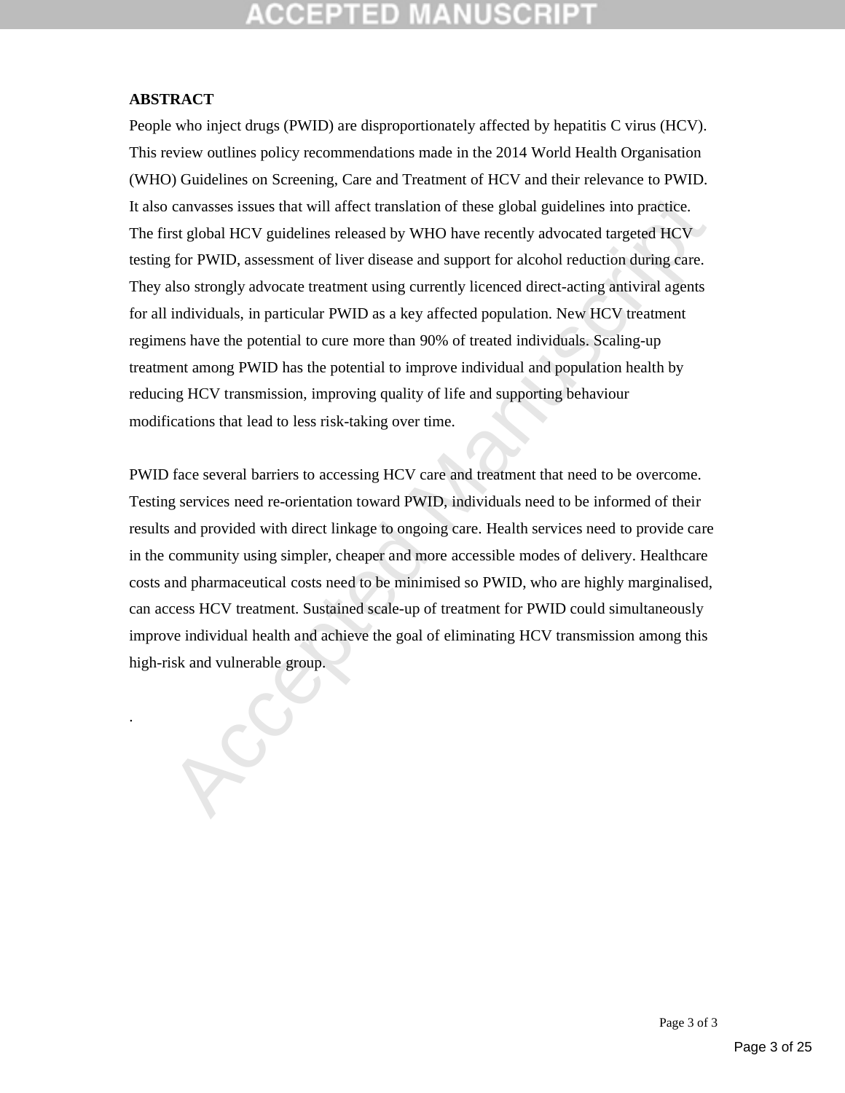# CGEPTED M

### **ABSTRACT**

.

canvasses issues that will affect translation of these global guidelines into practice.<br>
The global HCV guidelines released by WHO have recently advocated targeted HCV<br>
for PWID, assessment of liver discase and support for People who inject drugs (PWID) are disproportionately affected by hepatitis C virus (HCV). This review outlines policy recommendations made in the 2014 World Health Organisation (WHO) Guidelines on Screening, Care and Treatment of HCV and their relevance to PWID. It also canvasses issues that will affect translation of these global guidelines into practice. The first global HCV guidelines released by WHO have recently advocated targeted HCV testing for PWID, assessment of liver disease and support for alcohol reduction during care. They also strongly advocate treatment using currently licenced direct-acting antiviral agents for all individuals, in particular PWID as a key affected population. New HCV treatment regimens have the potential to cure more than 90% of treated individuals. Scaling-up treatment among PWID has the potential to improve individual and population health by reducing HCV transmission, improving quality of life and supporting behaviour modifications that lead to less risk-taking over time.

PWID face several barriers to accessing HCV care and treatment that need to be overcome. Testing services need re-orientation toward PWID, individuals need to be informed of their results and provided with direct linkage to ongoing care. Health services need to provide care in the community using simpler, cheaper and more accessible modes of delivery. Healthcare costs and pharmaceutical costs need to be minimised so PWID, who are highly marginalised, can access HCV treatment. Sustained scale-up of treatment for PWID could simultaneously improve individual health and achieve the goal of eliminating HCV transmission among this high-risk and vulnerable group.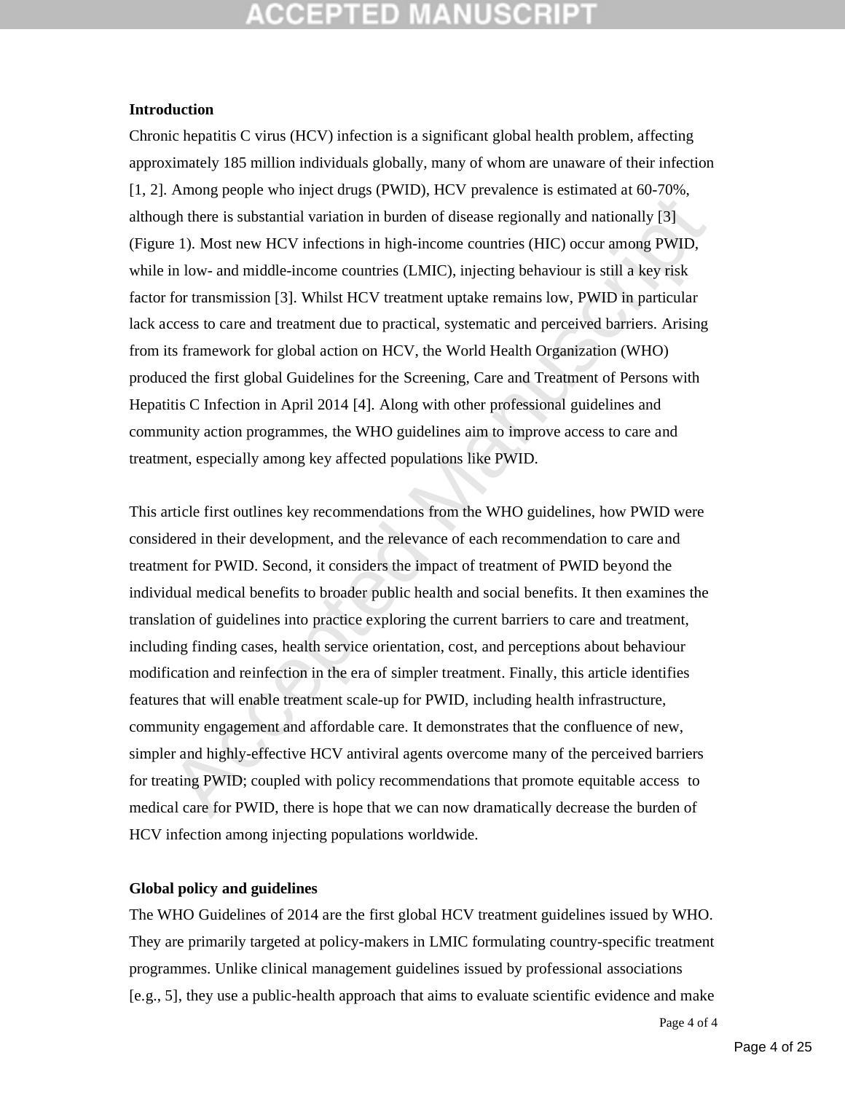#### **Introduction**

Chronic hepatitis C virus (HCV) infection is a significant global health problem, affecting approximately 185 million individuals globally, many of whom are unaware of their infection [1, 2]. Among people who inject drugs (PWID), HCV prevalence is estimated at 60-70%, although there is substantial variation in burden of disease regionally and nationally [3] (Figure 1). Most new HCV infections in high-income countries (HIC) occur among PWID, while in low- and middle-income countries (LMIC), injecting behaviour is still a key risk factor for transmission [3]. Whilst HCV treatment uptake remains low, PWID in particular lack access to care and treatment due to practical, systematic and perceived barriers. Arising from its framework for global action on HCV, the World Health Organization (WHO) produced the first global Guidelines for the Screening, Care and Treatment of Persons with Hepatitis C Infection in April 2014 [4]. Along with other professional guidelines and community action programmes, the WHO guidelines aim to improve access to care and treatment, especially among key affected populations like PWID.

Finally people and anyier durative and the proton of the proton of the syntemic and the sease regionally and nationally [3] at 1). Most new HCV infections in high-income countries (HIC) occur among PWID, in low- and middl This article first outlines key recommendations from the WHO guidelines, how PWID were considered in their development, and the relevance of each recommendation to care and treatment for PWID. Second, it considers the impact of treatment of PWID beyond the individual medical benefits to broader public health and social benefits. It then examines the translation of guidelines into practice exploring the current barriers to care and treatment, including finding cases, health service orientation, cost, and perceptions about behaviour modification and reinfection in the era of simpler treatment. Finally, this article identifies features that will enable treatment scale-up for PWID, including health infrastructure, community engagement and affordable care. It demonstrates that the confluence of new, simpler and highly-effective HCV antiviral agents overcome many of the perceived barriers for treating PWID; coupled with policy recommendations that promote equitable access to medical care for PWID, there is hope that we can now dramatically decrease the burden of HCV infection among injecting populations worldwide.

#### **Global policy and guidelines**

The WHO Guidelines of 2014 are the first global HCV treatment guidelines issued by WHO. They are primarily targeted at policy-makers in LMIC formulating country-specific treatment programmes. Unlike clinical management guidelines issued by professional associations [e.g., 5], they use a public-health approach that aims to evaluate scientific evidence and make

Page 4 of 4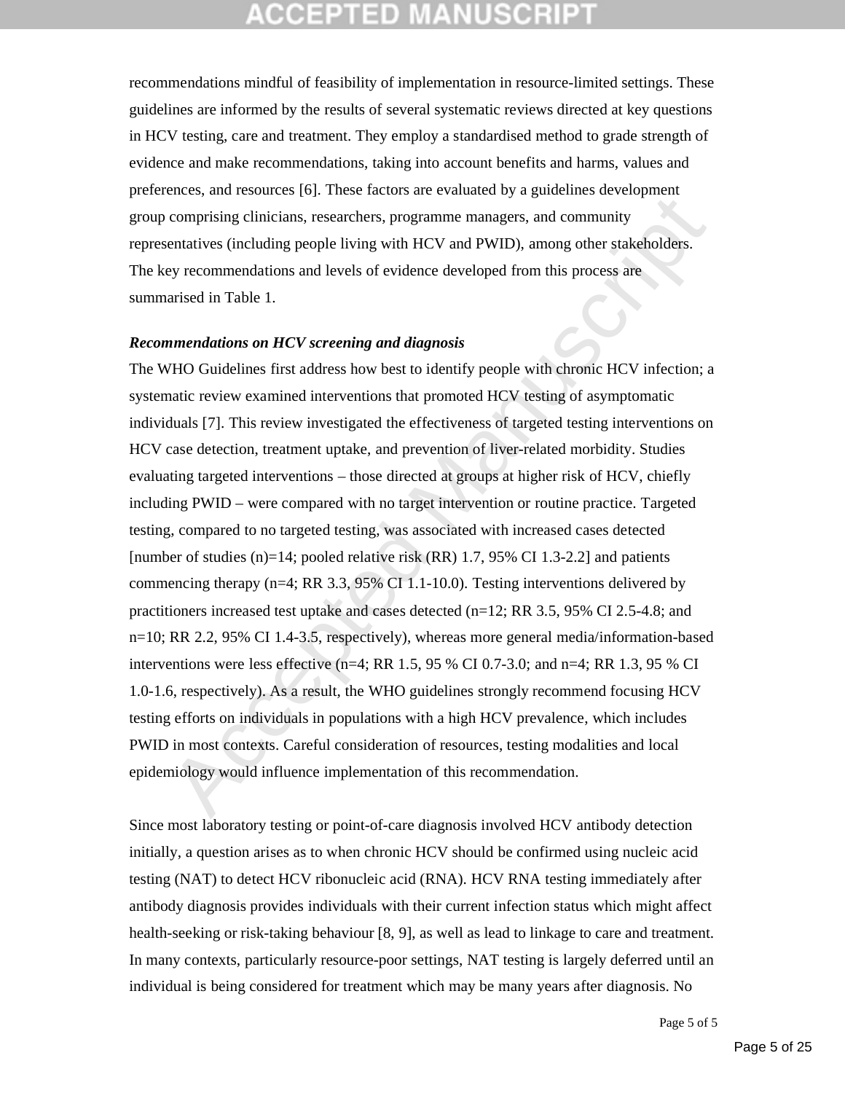recommendations mindful of feasibility of implementation in resource-limited settings. These guidelines are informed by the results of several systematic reviews directed at key questions in HCV testing, care and treatment. They employ a standardised method to grade strength of evidence and make recommendations, taking into account benefits and harms, values and preferences, and resources [6]. These factors are evaluated by a guidelines development group comprising clinicians, researchers, programme managers, and community representatives (including people living with HCV and PWID), among other stakeholders. The key recommendations and levels of evidence developed from this process are summarised in Table 1.

#### *Recommendations on HCV screening and diagnosis*

comprising dimicals researches, programme managers, and community<br>comprising dimicals, researchers, programme managers, and community<br>cantatives (including people living with HCV and PWID), anong other stakeholders.<br>ey rec The WHO Guidelines first address how best to identify people with chronic HCV infection; a systematic review examined interventions that promoted HCV testing of asymptomatic individuals [7]. This review investigated the effectiveness of targeted testing interventions on HCV case detection, treatment uptake, and prevention of liver-related morbidity. Studies evaluating targeted interventions – those directed at groups at higher risk of HCV, chiefly including PWID – were compared with no target intervention or routine practice. Targeted testing, compared to no targeted testing, was associated with increased cases detected [number of studies  $(n)=14$ ; pooled relative risk  $(RR)$  1.7, 95% CI 1.3-2.2] and patients commencing therapy (n=4; RR 3.3, 95% CI 1.1-10.0). Testing interventions delivered by practitioners increased test uptake and cases detected  $(n=12; RR 3.5, 95% CI 2.5-4.8; and$ n=10; RR 2.2, 95% CI 1.4-3.5, respectively), whereas more general media/information-based interventions were less effective (n=4; RR 1.5, 95 % CI 0.7-3.0; and n=4; RR 1.3, 95 % CI 1.0-1.6, respectively). As a result, the WHO guidelines strongly recommend focusing HCV testing efforts on individuals in populations with a high HCV prevalence, which includes PWID in most contexts. Careful consideration of resources, testing modalities and local epidemiology would influence implementation of this recommendation.

Since most laboratory testing or point-of-care diagnosis involved HCV antibody detection initially, a question arises as to when chronic HCV should be confirmed using nucleic acid testing (NAT) to detect HCV ribonucleic acid (RNA). HCV RNA testing immediately after antibody diagnosis provides individuals with their current infection status which might affect health-seeking or risk-taking behaviour [8, 9], as well as lead to linkage to care and treatment. In many contexts, particularly resource-poor settings, NAT testing is largely deferred until an individual is being considered for treatment which may be many years after diagnosis. No

Page 5 of 5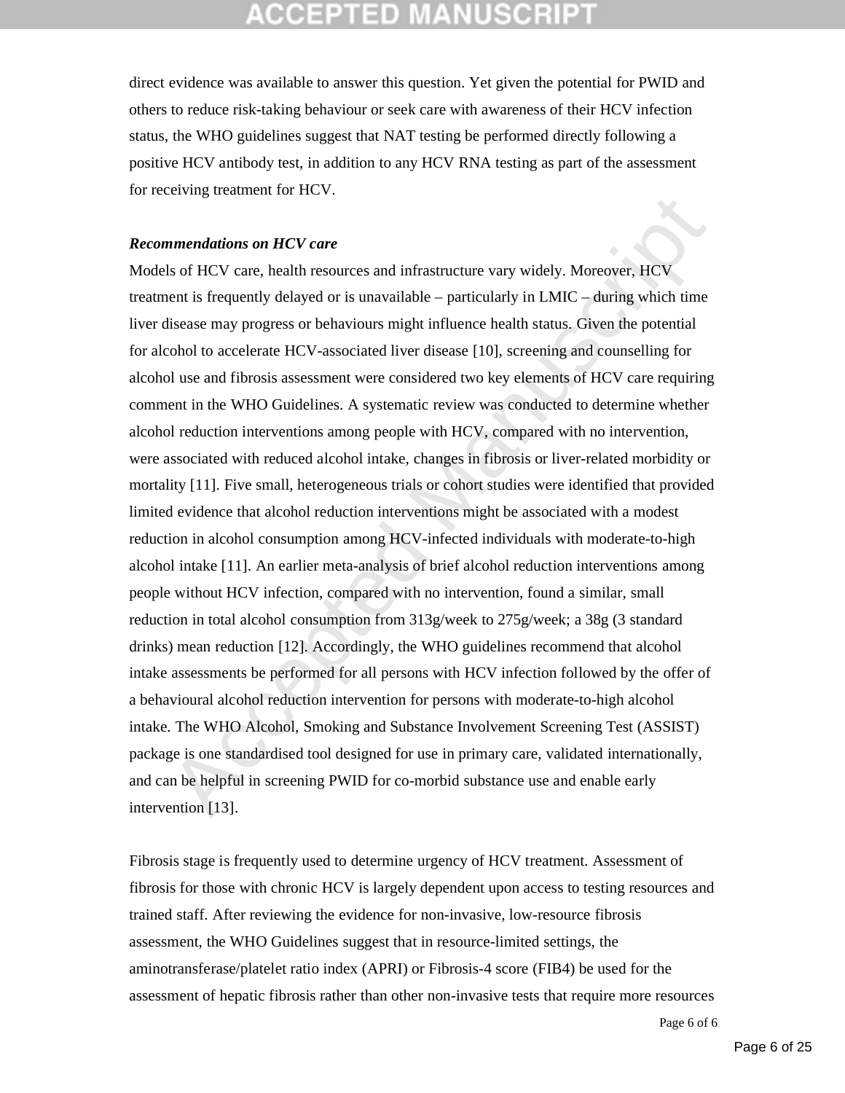direct evidence was available to answer this question. Yet given the potential for PWID and others to reduce risk-taking behaviour or seek care with awareness of their HCV infection status, the WHO guidelines suggest that NAT testing be performed directly following a positive HCV antibody test, in addition to any HCV RNA testing as part of the assessment for receiving treatment for HCV.

#### *Recommendations on HCV care*

**nmendations on LICV** care<br>so the HS of HCV care, health resources and infrastructure vary widely. Moreover, HCV<br>so field HCV care, health resources and infrastructure vary widely. Moreover, HCV<br>enent is frequently delaye Models of HCV care, health resources and infrastructure vary widely. Moreover, HCV treatment is frequently delayed or is unavailable – particularly in LMIC – during which time liver disease may progress or behaviours might influence health status. Given the potential for alcohol to accelerate HCV-associated liver disease [10], screening and counselling for alcohol use and fibrosis assessment were considered two key elements of HCV care requiring comment in the WHO Guidelines. A systematic review was conducted to determine whether alcohol reduction interventions among people with HCV, compared with no intervention, were associated with reduced alcohol intake, changes in fibrosis or liver-related morbidity or mortality [11]. Five small, heterogeneous trials or cohort studies were identified that provided limited evidence that alcohol reduction interventions might be associated with a modest reduction in alcohol consumption among HCV-infected individuals with moderate-to-high alcohol intake [11]. An earlier meta-analysis of brief alcohol reduction interventions among people without HCV infection, compared with no intervention, found a similar, small reduction in total alcohol consumption from 313g/week to 275g/week; a 38g (3 standard drinks) mean reduction [12]. Accordingly, the WHO guidelines recommend that alcohol intake assessments be performed for all persons with HCV infection followed by the offer of a behavioural alcohol reduction intervention for persons with moderate-to-high alcohol intake. The WHO Alcohol, Smoking and Substance Involvement Screening Test (ASSIST) package is one standardised tool designed for use in primary care, validated internationally, and can be helpful in screening PWID for co-morbid substance use and enable early intervention [13].

Fibrosis stage is frequently used to determine urgency of HCV treatment. Assessment of fibrosis for those with chronic HCV is largely dependent upon access to testing resources and trained staff. After reviewing the evidence for non-invasive, low-resource fibrosis assessment, the WHO Guidelines suggest that in resource-limited settings, the aminotransferase/platelet ratio index (APRI) or Fibrosis-4 score (FIB4) be used for the assessment of hepatic fibrosis rather than other non-invasive tests that require more resources

Page 6 of 6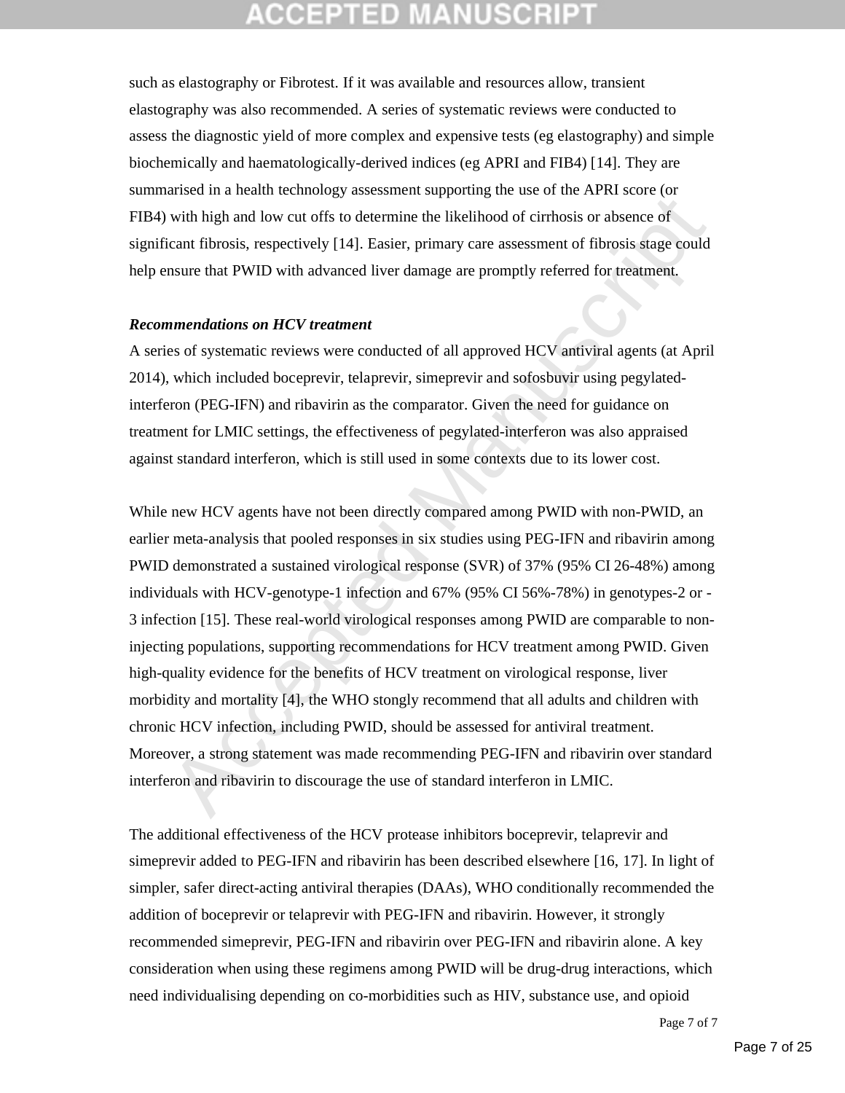such as elastography or Fibrotest. If it was available and resources allow, transient elastography was also recommended. A series of systematic reviews were conducted to assess the diagnostic yield of more complex and expensive tests (eg elastography) and simple biochemically and haematologically-derived indices (eg APRI and FIB4) [14]. They are summarised in a health technology assessment supporting the use of the APRI score (or FIB4) with high and low cut offs to determine the likelihood of cirrhosis or absence of significant fibrosis, respectively [14]. Easier, primary care assessment of fibrosis stage could help ensure that PWID with advanced liver damage are promptly referred for treatment.

#### *Recommendations on HCV treatment*

A series of systematic reviews were conducted of all approved HCV antiviral agents (at April 2014), which included boceprevir, telaprevir, simeprevir and sofosbuvir using pegylatedinterferon (PEG-IFN) and ribavirin as the comparator. Given the need for guidance on treatment for LMIC settings, the effectiveness of pegylated-interferon was also appraised against standard interferon, which is still used in some contexts due to its lower cost.

with high and low cut offs to determine the likelihood of cirbosis or absence of<br>with high and low cut offs to determine the likelihood of cirbosis or absence of<br>icant fibrosis, respectively [14]. Easier, primary care asse While new HCV agents have not been directly compared among PWID with non-PWID, an earlier meta-analysis that pooled responses in six studies using PEG-IFN and ribavirin among PWID demonstrated a sustained virological response (SVR) of 37% (95% CI 26-48%) among individuals with HCV-genotype-1 infection and 67% (95% CI 56%-78%) in genotypes-2 or - 3 infection [15]. These real-world virological responses among PWID are comparable to noninjecting populations, supporting recommendations for HCV treatment among PWID. Given high-quality evidence for the benefits of HCV treatment on virological response, liver morbidity and mortality [4], the WHO stongly recommend that all adults and children with chronic HCV infection, including PWID, should be assessed for antiviral treatment. Moreover, a strong statement was made recommending PEG-IFN and ribavirin over standard interferon and ribavirin to discourage the use of standard interferon in LMIC.

The additional effectiveness of the HCV protease inhibitors boceprevir, telaprevir and simeprevir added to PEG-IFN and ribavirin has been described elsewhere [16, 17]. In light of simpler, safer direct-acting antiviral therapies (DAAs), WHO conditionally recommended the addition of boceprevir or telaprevir with PEG-IFN and ribavirin. However, it strongly recommended simeprevir, PEG-IFN and ribavirin over PEG-IFN and ribavirin alone. A key consideration when using these regimens among PWID will be drug-drug interactions, which need individualising depending on co-morbidities such as HIV, substance use, and opioid

Page 7 of 7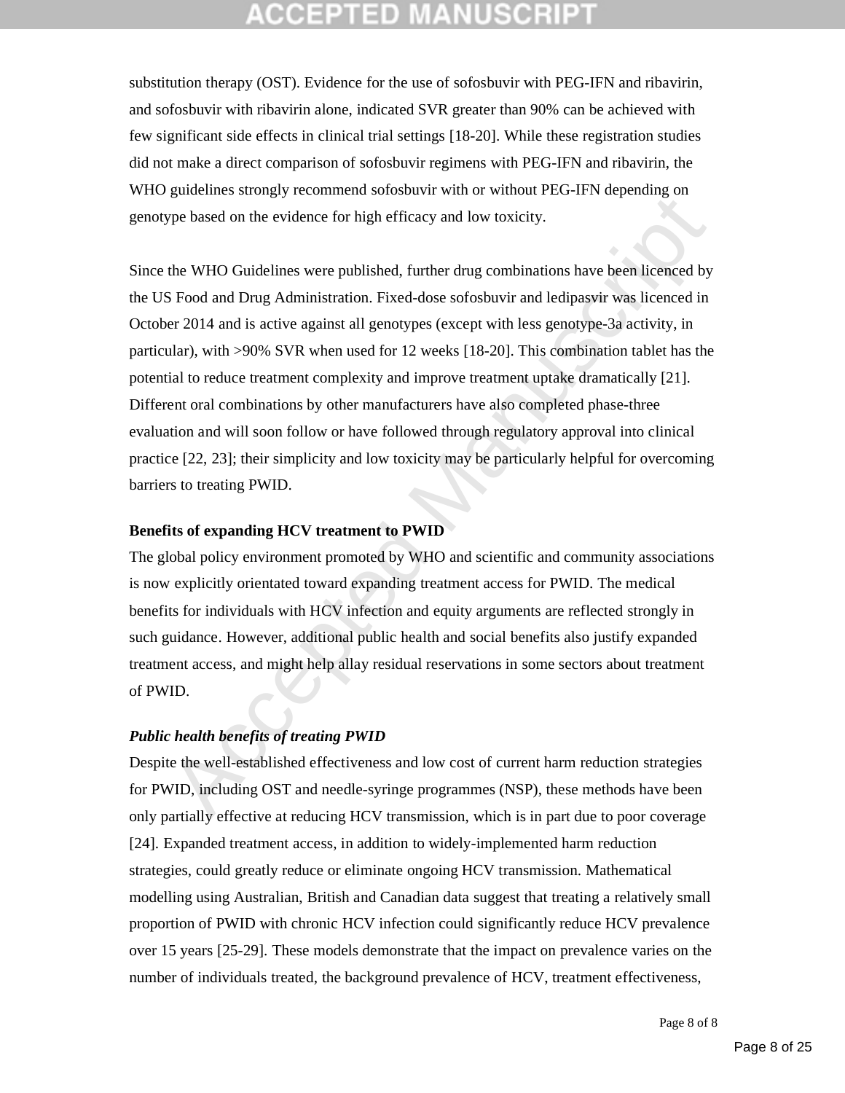## (CEPTED)

substitution therapy (OST). Evidence for the use of sofosbuvir with PEG-IFN and ribavirin, and sofosbuvir with ribavirin alone, indicated SVR greater than 90% can be achieved with few significant side effects in clinical trial settings [18-20]. While these registration studies did not make a direct comparison of sofosbuvir regimens with PEG-IFN and ribavirin, the WHO guidelines strongly recommend sofosbuvir with or without PEG-IFN depending on genotype based on the evidence for high efficacy and low toxicity.

gassion of the evidence Stromation and the minimum association which is the mention strategies<br>the WHO Guidelines were published, further drug combinations have been licenced by<br>the WHO Guidelines were published, further d Since the WHO Guidelines were published, further drug combinations have been licenced by the US Food and Drug Administration. Fixed-dose sofosbuvir and ledipasvir was licenced in October 2014 and is active against all genotypes (except with less genotype-3a activity, in particular), with >90% SVR when used for 12 weeks [18-20]. This combination tablet has the potential to reduce treatment complexity and improve treatment uptake dramatically [21]. Different oral combinations by other manufacturers have also completed phase-three evaluation and will soon follow or have followed through regulatory approval into clinical practice [22, 23]; their simplicity and low toxicity may be particularly helpful for overcoming barriers to treating PWID.

#### **Benefits of expanding HCV treatment to PWID**

The global policy environment promoted by WHO and scientific and community associations is now explicitly orientated toward expanding treatment access for PWID. The medical benefits for individuals with HCV infection and equity arguments are reflected strongly in such guidance. However, additional public health and social benefits also justify expanded treatment access, and might help allay residual reservations in some sectors about treatment of PWID.

### *Public health benefits of treating PWID*

Despite the well-established effectiveness and low cost of current harm reduction strategies for PWID, including OST and needle-syringe programmes (NSP), these methods have been only partially effective at reducing HCV transmission, which is in part due to poor coverage [24]. Expanded treatment access, in addition to widely-implemented harm reduction strategies, could greatly reduce or eliminate ongoing HCV transmission. Mathematical modelling using Australian, British and Canadian data suggest that treating a relatively small proportion of PWID with chronic HCV infection could significantly reduce HCV prevalence over 15 years [25-29]. These models demonstrate that the impact on prevalence varies on the number of individuals treated, the background prevalence of HCV, treatment effectiveness,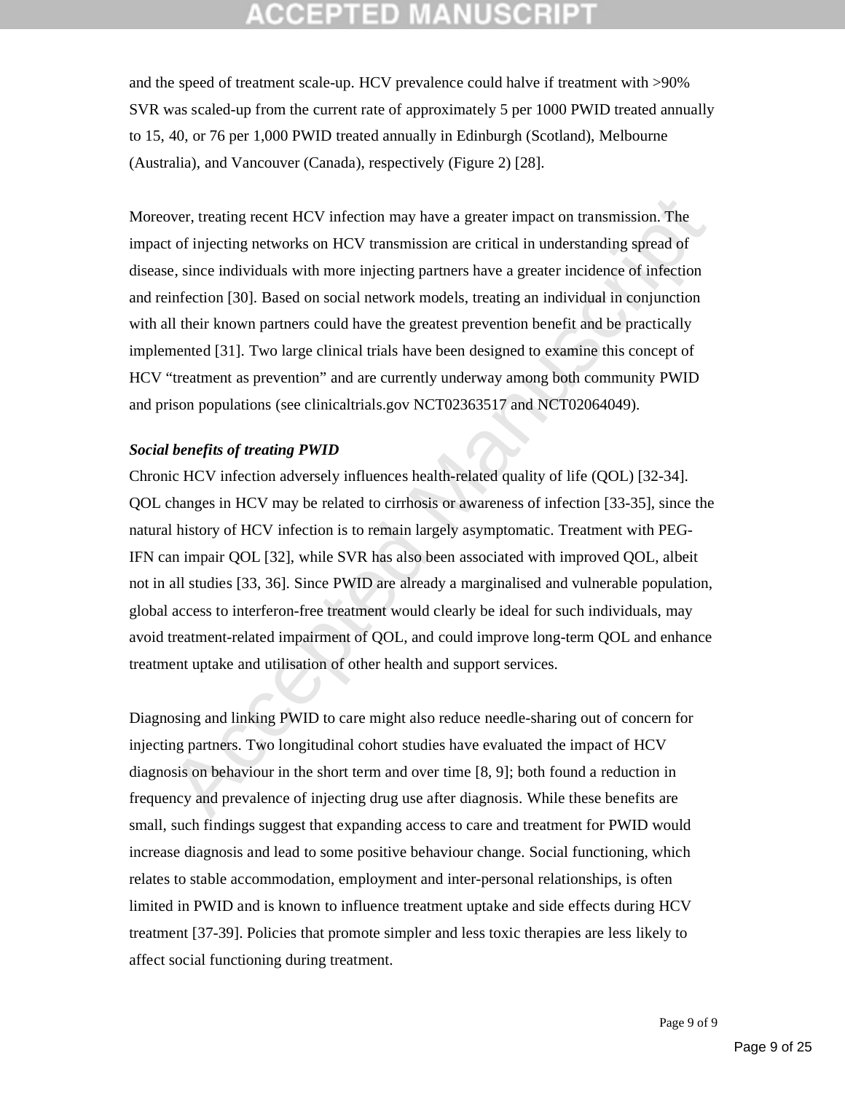and the speed of treatment scale-up. HCV prevalence could halve if treatment with >90% SVR was scaled-up from the current rate of approximately 5 per 1000 PWID treated annually to 15, 40, or 76 per 1,000 PWID treated annually in Edinburgh (Scotland), Melbourne (Australia), and Vancouver (Canada), respectively (Figure 2) [28].

Moreover, treating recent HCV infection may have a greater impact on transmission. The impact of injecting networks on HCV transmission are critical in understanding spread of disease, since individuals with more injecting partners have a greater incidence of infection and reinfection [30]. Based on social network models, treating an individual in conjunction with all their known partners could have the greatest prevention benefit and be practically implemented [31]. Two large clinical trials have been designed to examine this concept of HCV "treatment as prevention" and are currently underway among both community PWID and prison populations (see clinicaltrials.gov NCT02363517 and NCT02064049).

#### *Social benefits of treating PWID*

over, treating recent HCV infection may have a greater impact on transmission. The<br>tof injecting networks on HCV transmission are critical in understanding spread of<br>c, since individuals with more injecting partners have a Chronic HCV infection adversely influences health-related quality of life (QOL) [32-34]. QOL changes in HCV may be related to cirrhosis or awareness of infection [33-35], since the natural history of HCV infection is to remain largely asymptomatic. Treatment with PEG-IFN can impair QOL [32], while SVR has also been associated with improved QOL, albeit not in all studies [33, 36]. Since PWID are already a marginalised and vulnerable population, global access to interferon-free treatment would clearly be ideal for such individuals, may avoid treatment-related impairment of QOL, and could improve long-term QOL and enhance treatment uptake and utilisation of other health and support services.

Diagnosing and linking PWID to care might also reduce needle-sharing out of concern for injecting partners. Two longitudinal cohort studies have evaluated the impact of HCV diagnosis on behaviour in the short term and over time [8, 9]; both found a reduction in frequency and prevalence of injecting drug use after diagnosis. While these benefits are small, such findings suggest that expanding access to care and treatment for PWID would increase diagnosis and lead to some positive behaviour change. Social functioning, which relates to stable accommodation, employment and inter-personal relationships, is often limited in PWID and is known to influence treatment uptake and side effects during HCV treatment [37-39]. Policies that promote simpler and less toxic therapies are less likely to affect social functioning during treatment.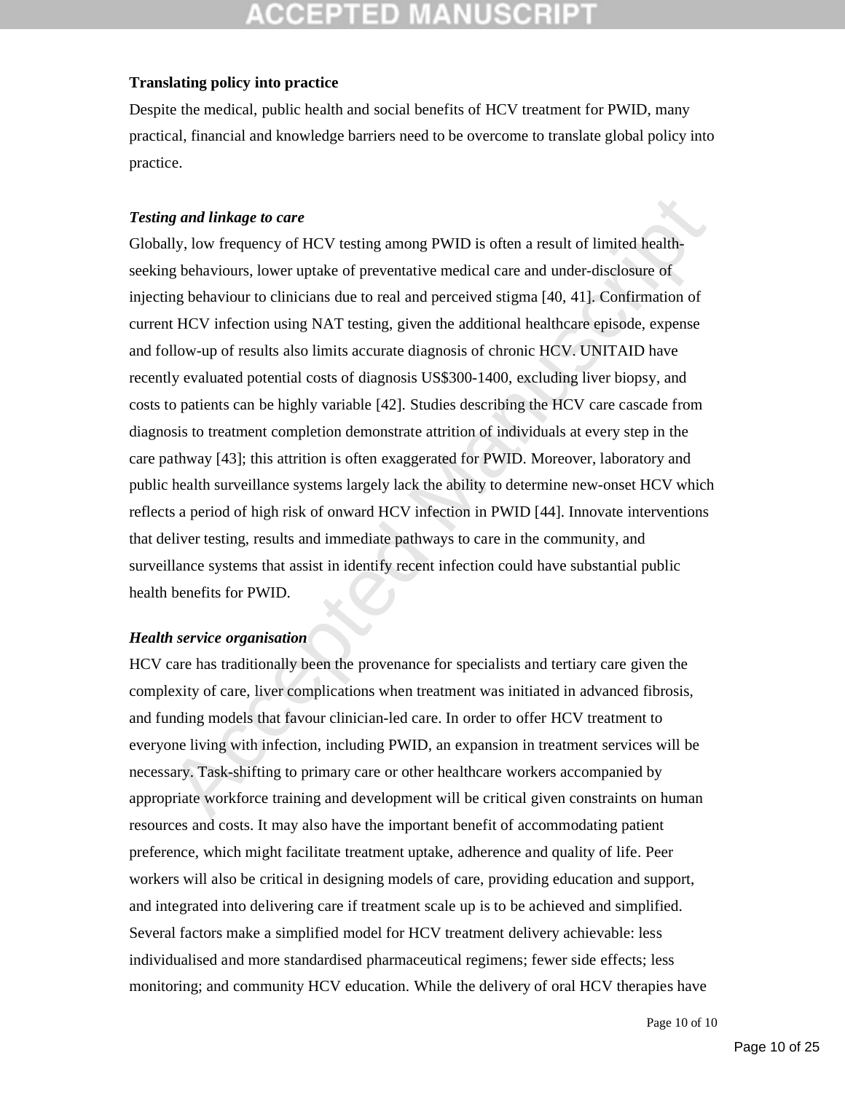#### **Translating policy into practice**

Despite the medical, public health and social benefits of HCV treatment for PWID, many practical, financial and knowledge barriers need to be overcome to translate global policy into practice.

### *Testing and linkage to care*

ig and linkage to care<br>lly, low frequency of HCV testing among PWID is often a result of limited health-<br>lig behaviours, lower uptake of preventative medical care and under-disclosure of<br>mig behaviour to clinicians due to Globally, low frequency of HCV testing among PWID is often a result of limited healthseeking behaviours, lower uptake of preventative medical care and under-disclosure of injecting behaviour to clinicians due to real and perceived stigma [40, 41]. Confirmation of current HCV infection using NAT testing, given the additional healthcare episode, expense and follow-up of results also limits accurate diagnosis of chronic HCV. UNITAID have recently evaluated potential costs of diagnosis US\$300-1400, excluding liver biopsy, and costs to patients can be highly variable [42]. Studies describing the HCV care cascade from diagnosis to treatment completion demonstrate attrition of individuals at every step in the care pathway [43]; this attrition is often exaggerated for PWID. Moreover, laboratory and public health surveillance systems largely lack the ability to determine new-onset HCV which reflects a period of high risk of onward HCV infection in PWID [44]. Innovate interventions that deliver testing, results and immediate pathways to care in the community, and surveillance systems that assist in identify recent infection could have substantial public health benefits for PWID.

### *Health service organisation*

HCV care has traditionally been the provenance for specialists and tertiary care given the complexity of care, liver complications when treatment was initiated in advanced fibrosis, and funding models that favour clinician-led care. In order to offer HCV treatment to everyone living with infection, including PWID, an expansion in treatment services will be necessary. Task-shifting to primary care or other healthcare workers accompanied by appropriate workforce training and development will be critical given constraints on human resources and costs. It may also have the important benefit of accommodating patient preference, which might facilitate treatment uptake, adherence and quality of life. Peer workers will also be critical in designing models of care, providing education and support, and integrated into delivering care if treatment scale up is to be achieved and simplified. Several factors make a simplified model for HCV treatment delivery achievable: less individualised and more standardised pharmaceutical regimens; fewer side effects; less monitoring; and community HCV education. While the delivery of oral HCV therapies have

Page 10 of 10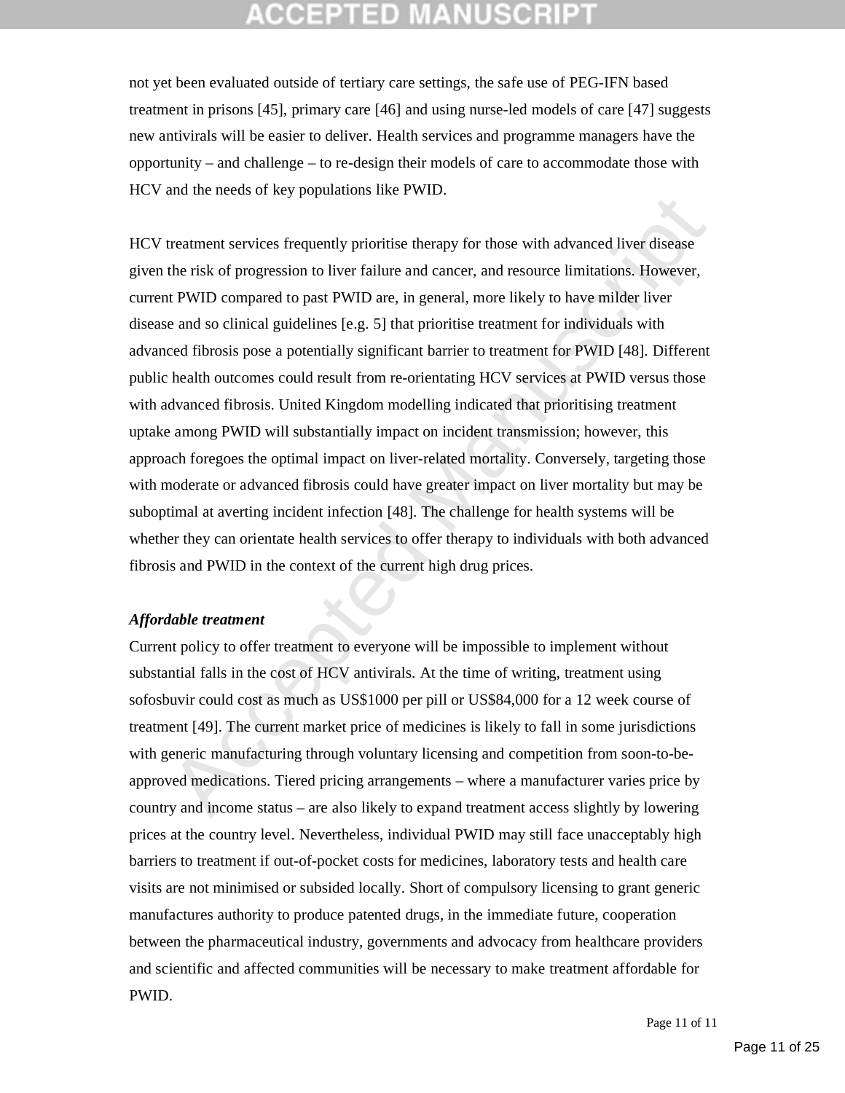not yet been evaluated outside of tertiary care settings, the safe use of PEG-IFN based treatment in prisons [45], primary care [46] and using nurse-led models of care [47] suggests new antivirals will be easier to deliver. Health services and programme managers have the opportunity – and challenge – to re-design their models of care to accommodate those with HCV and the needs of key populations like PWID.

Ethermannistic streets of the content of the simulation. The statistical method in the statistic entire of the relations of the relations of the relations of the relations of the relations of the relations of the relation HCV treatment services frequently prioritise therapy for those with advanced liver disease given the risk of progression to liver failure and cancer, and resource limitations. However, current PWID compared to past PWID are, in general, more likely to have milder liver disease and so clinical guidelines [e.g. 5] that prioritise treatment for individuals with advanced fibrosis pose a potentially significant barrier to treatment for PWID [48]. Different public health outcomes could result from re-orientating HCV services at PWID versus those with advanced fibrosis. United Kingdom modelling indicated that prioritising treatment uptake among PWID will substantially impact on incident transmission; however, this approach foregoes the optimal impact on liver-related mortality. Conversely, targeting those with moderate or advanced fibrosis could have greater impact on liver mortality but may be suboptimal at averting incident infection [48]. The challenge for health systems will be whether they can orientate health services to offer therapy to individuals with both advanced fibrosis and PWID in the context of the current high drug prices.

#### *Affordable treatment*

Current policy to offer treatment to everyone will be impossible to implement without substantial falls in the cost of HCV antivirals. At the time of writing, treatment using sofosbuvir could cost as much as US\$1000 per pill or US\$84,000 for a 12 week course of treatment [49]. The current market price of medicines is likely to fall in some jurisdictions with generic manufacturing through voluntary licensing and competition from soon-to-beapproved medications. Tiered pricing arrangements – where a manufacturer varies price by country and income status – are also likely to expand treatment access slightly by lowering prices at the country level. Nevertheless, individual PWID may still face unacceptably high barriers to treatment if out-of-pocket costs for medicines, laboratory tests and health care visits are not minimised or subsided locally. Short of compulsory licensing to grant generic manufactures authority to produce patented drugs, in the immediate future, cooperation between the pharmaceutical industry, governments and advocacy from healthcare providers and scientific and affected communities will be necessary to make treatment affordable for PWID.

Page 11 of 11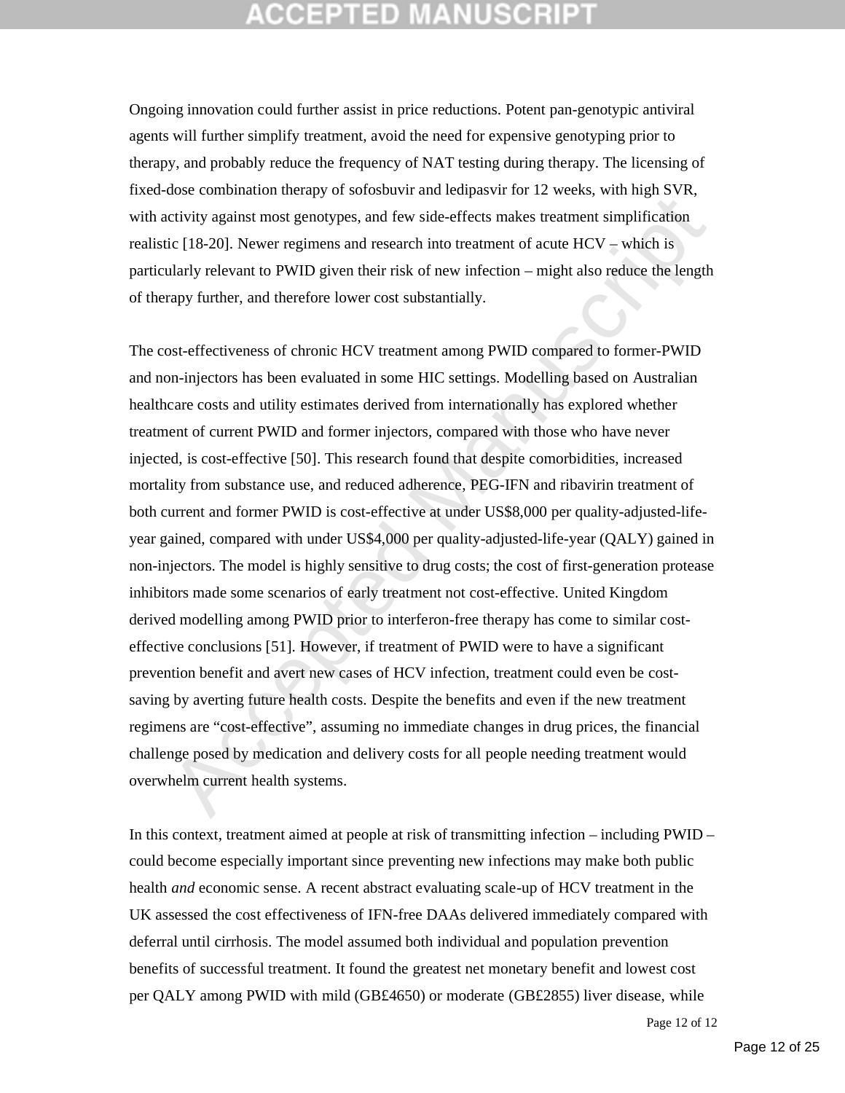## CGEPTED MA

Ongoing innovation could further assist in price reductions. Potent pan-genotypic antiviral agents will further simplify treatment, avoid the need for expensive genotyping prior to therapy, and probably reduce the frequency of NAT testing during therapy. The licensing of fixed-dose combination therapy of sofosbuvir and ledipasvir for 12 weeks, with high SVR, with activity against most genotypes, and few side-effects makes treatment simplification realistic  $[18-20]$ . Newer regimens and research into treatment of acute  $HCV$  – which is particularly relevant to PWID given their risk of new infection – might also reduce the length of therapy further, and therefore lower cost substantially.

extrements of the method and reading the state and the state and the state of the reading that the constrained Manuscriptical posed in the state and the constrained in the constrained in the constrained Manuscriptical in t The cost-effectiveness of chronic HCV treatment among PWID compared to former-PWID and non-injectors has been evaluated in some HIC settings. Modelling based on Australian healthcare costs and utility estimates derived from internationally has explored whether treatment of current PWID and former injectors, compared with those who have never injected, is cost-effective [50]. This research found that despite comorbidities, increased mortality from substance use, and reduced adherence, PEG-IFN and ribavirin treatment of both current and former PWID is cost-effective at under US\$8,000 per quality-adjusted-lifeyear gained, compared with under US\$4,000 per quality-adjusted-life-year (QALY) gained in non-injectors. The model is highly sensitive to drug costs; the cost of first-generation protease inhibitors made some scenarios of early treatment not cost-effective. United Kingdom derived modelling among PWID prior to interferon-free therapy has come to similar costeffective conclusions [51]. However, if treatment of PWID were to have a significant prevention benefit and avert new cases of HCV infection, treatment could even be costsaving by averting future health costs. Despite the benefits and even if the new treatment regimens are "cost-effective", assuming no immediate changes in drug prices, the financial challenge posed by medication and delivery costs for all people needing treatment would overwhelm current health systems.

In this context, treatment aimed at people at risk of transmitting infection – including PWID – could become especially important since preventing new infections may make both public health *and* economic sense. A recent abstract evaluating scale-up of HCV treatment in the UK assessed the cost effectiveness of IFN-free DAAs delivered immediately compared with deferral until cirrhosis. The model assumed both individual and population prevention benefits of successful treatment. It found the greatest net monetary benefit and lowest cost per QALY among PWID with mild (GB£4650) or moderate (GB£2855) liver disease, while

Page 12 of 12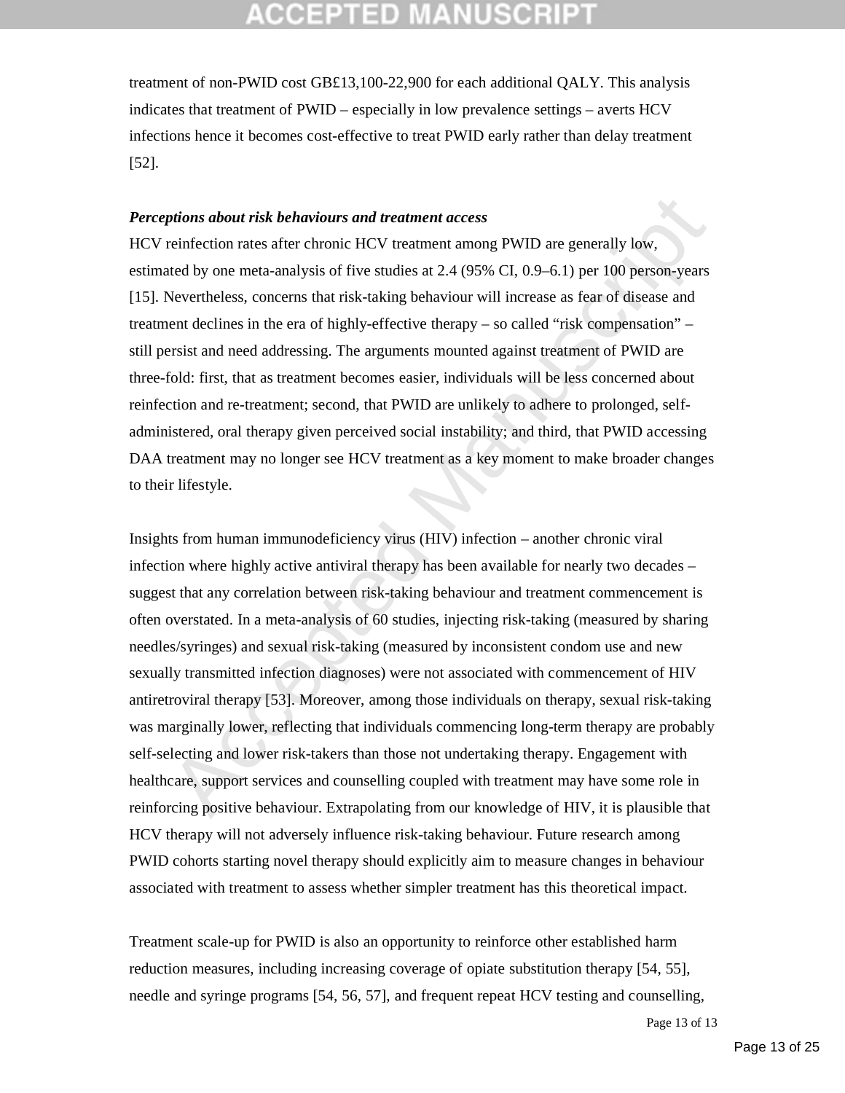treatment of non-PWID cost GB£13,100-22,900 for each additional QALY. This analysis indicates that treatment of PWID – especially in low prevalence settings – averts HCV infections hence it becomes cost-effective to treat PWID early rather than delay treatment [52].

#### *Perceptions about risk behaviours and treatment access*

HCV reinfection rates after chronic HCV treatment among PWID are generally low, estimated by one meta-analysis of five studies at 2.4 (95% CI, 0.9–6.1) per 100 person-years [15]. Nevertheless, concerns that risk-taking behaviour will increase as fear of disease and treatment declines in the era of highly-effective therapy – so called "risk compensation" – still persist and need addressing. The arguments mounted against treatment of PWID are three-fold: first, that as treatment becomes easier, individuals will be less concerned about reinfection and re-treatment; second, that PWID are unlikely to adhere to prolonged, selfadministered, oral therapy given perceived social instability; and third, that PWID accessing DAA treatment may no longer see HCV treatment as a key moment to make broader changes to their lifestyle.

ptions about risk behaviours and treatment access<br>
reinfection rates after chronic HCV treatment access<br>
reinfection rates after chronic HCV treatment among PWID are generally low.<br>
tued by one meta-analysis of five studie Insights from human immunodeficiency virus (HIV) infection – another chronic viral infection where highly active antiviral therapy has been available for nearly two decades – suggest that any correlation between risk-taking behaviour and treatment commencement is often overstated. In a meta-analysis of 60 studies, injecting risk-taking (measured by sharing needles/syringes) and sexual risk-taking (measured by inconsistent condom use and new sexually transmitted infection diagnoses) were not associated with commencement of HIV antiretroviral therapy [53]. Moreover, among those individuals on therapy, sexual risk-taking was marginally lower, reflecting that individuals commencing long-term therapy are probably self-selecting and lower risk-takers than those not undertaking therapy. Engagement with healthcare, support services and counselling coupled with treatment may have some role in reinforcing positive behaviour. Extrapolating from our knowledge of HIV, it is plausible that HCV therapy will not adversely influence risk-taking behaviour. Future research among PWID cohorts starting novel therapy should explicitly aim to measure changes in behaviour associated with treatment to assess whether simpler treatment has this theoretical impact.

Treatment scale-up for PWID is also an opportunity to reinforce other established harm reduction measures, including increasing coverage of opiate substitution therapy [54, 55], needle and syringe programs [54, 56, 57], and frequent repeat HCV testing and counselling,

Page 13 of 13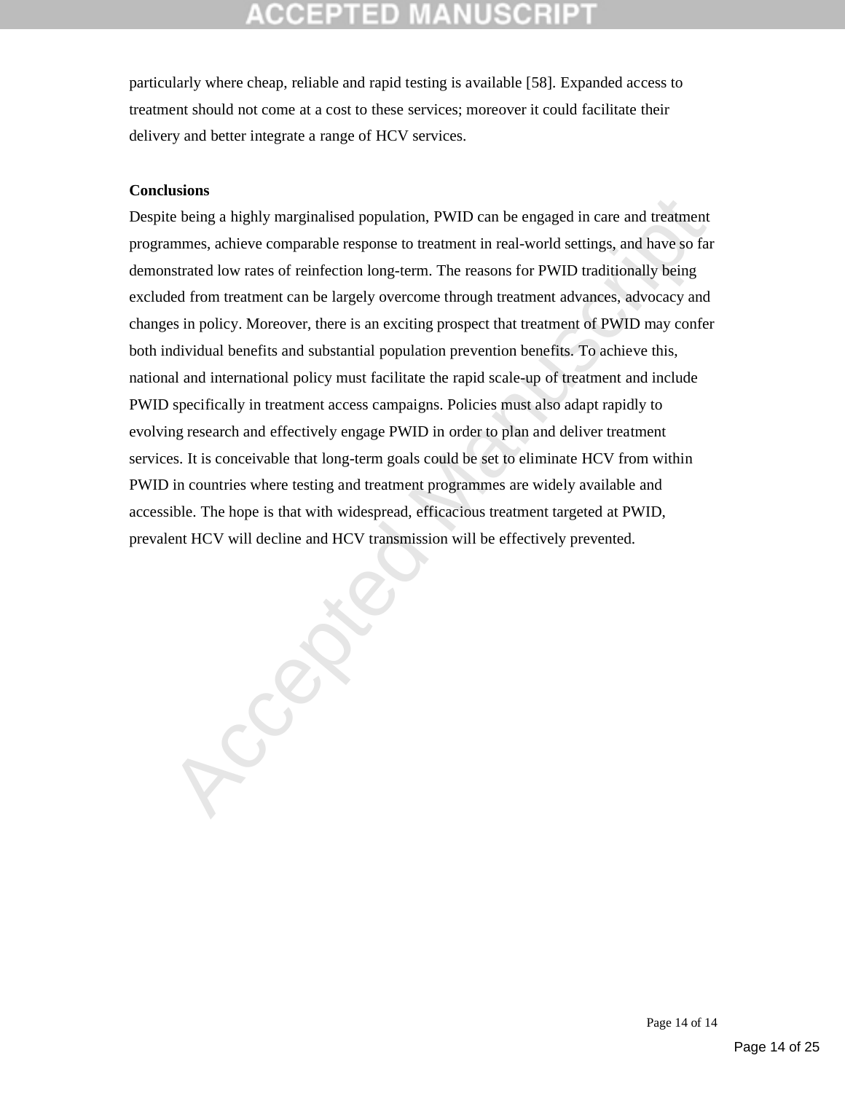particularly where cheap, reliable and rapid testing is available [58]. Expanded access to treatment should not come at a cost to these services; moreover it could facilitate their delivery and better integrate a range of HCV services.

#### **Conclusions**

Despite being a highly marginalised population, PWID can be engaged in care and treatment programmes, achieve comparable response to treatment in real-world settings, and have so far demonstrated low rates of reinfection long-term. The reasons for PWID traditionally being excluded from treatment can be largely overcome through treatment advances, advocacy and changes in policy. Moreover, there is an exciting prospect that treatment of PWID may confer both individual benefits and substantial population prevention benefits. To achieve this, national and international policy must facilitate the rapid scale-up of treatment and include PWID specifically in treatment access campaigns. Policies must also adapt rapidly to evolving research and effectively engage PWID in order to plan and deliver treatment services. It is conceivable that long-term goals could be set to eliminate HCV from within PWID in countries where testing and treatment programmes are widely available and accessible. The hope is that with widespread, efficacious treatment targeted at PWID, prevalent HCV will decline and HCV transmission will be effectively prevented.

**Recision** 

Page 14 of 14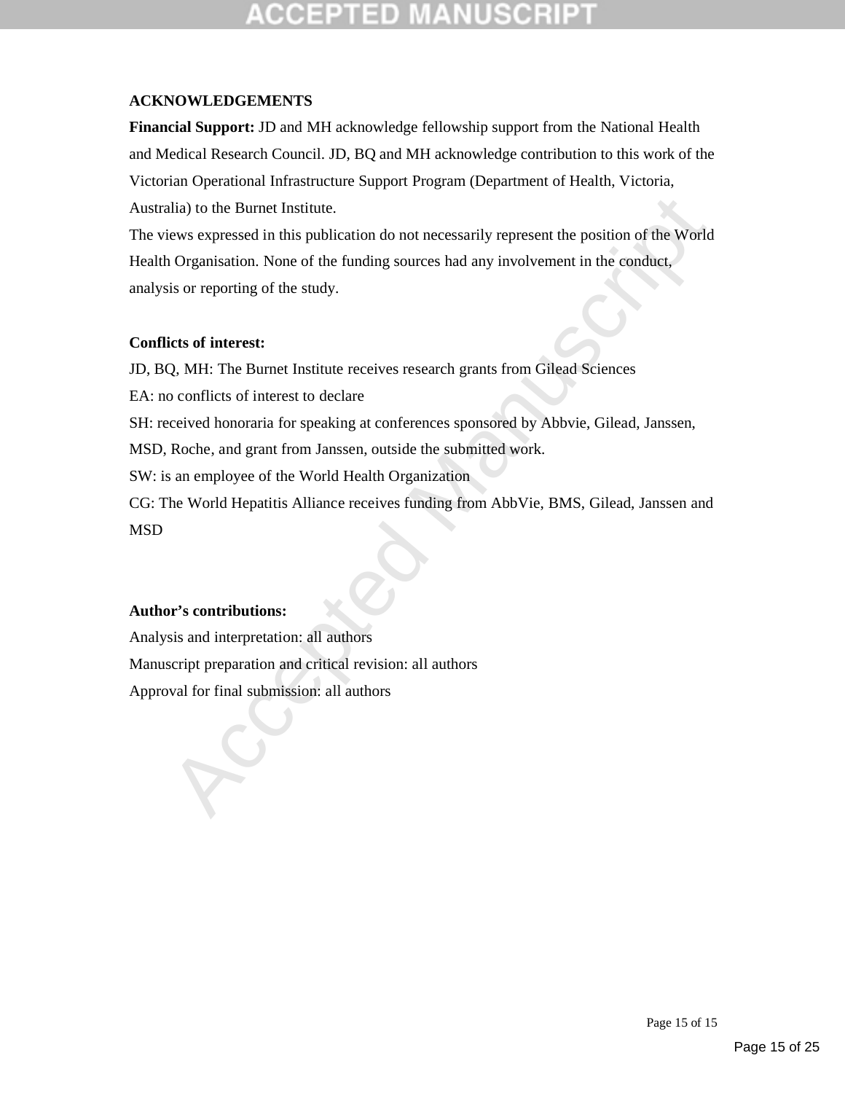# TED

### **ACKNOWLEDGEMENTS**

**Financial Support:** JD and MH acknowledge fellowship support from the National Health and Medical Research Council. JD, BQ and MH acknowledge contribution to this work of the Victorian Operational Infrastructure Support Program (Department of Health, Victoria, Australia) to the Burnet Institute.

alia) to the Burnet Institute.<br>
Herewes expressed in this publication do not necessarily represent the position of the World<br>
Organisation. None of the funding sources had any involvement in the conduct,<br>
sis or reporting The views expressed in this publication do not necessarily represent the position of the World Health Organisation. None of the funding sources had any involvement in the conduct, analysis or reporting of the study.

### **Conflicts of interest:**

JD, BQ, MH: The Burnet Institute receives research grants from Gilead Sciences

EA: no conflicts of interest to declare

SH: received honoraria for speaking at conferences sponsored by Abbvie, Gilead, Janssen,

MSD, Roche, and grant from Janssen, outside the submitted work.

SW: is an employee of the World Health Organization

CG: The World Hepatitis Alliance receives funding from AbbVie, BMS, Gilead, Janssen and MSD

## **Author's contributions:**

Analysis and interpretation: all authors Manuscript preparation and critical revision: all authors Approval for final submission: all authors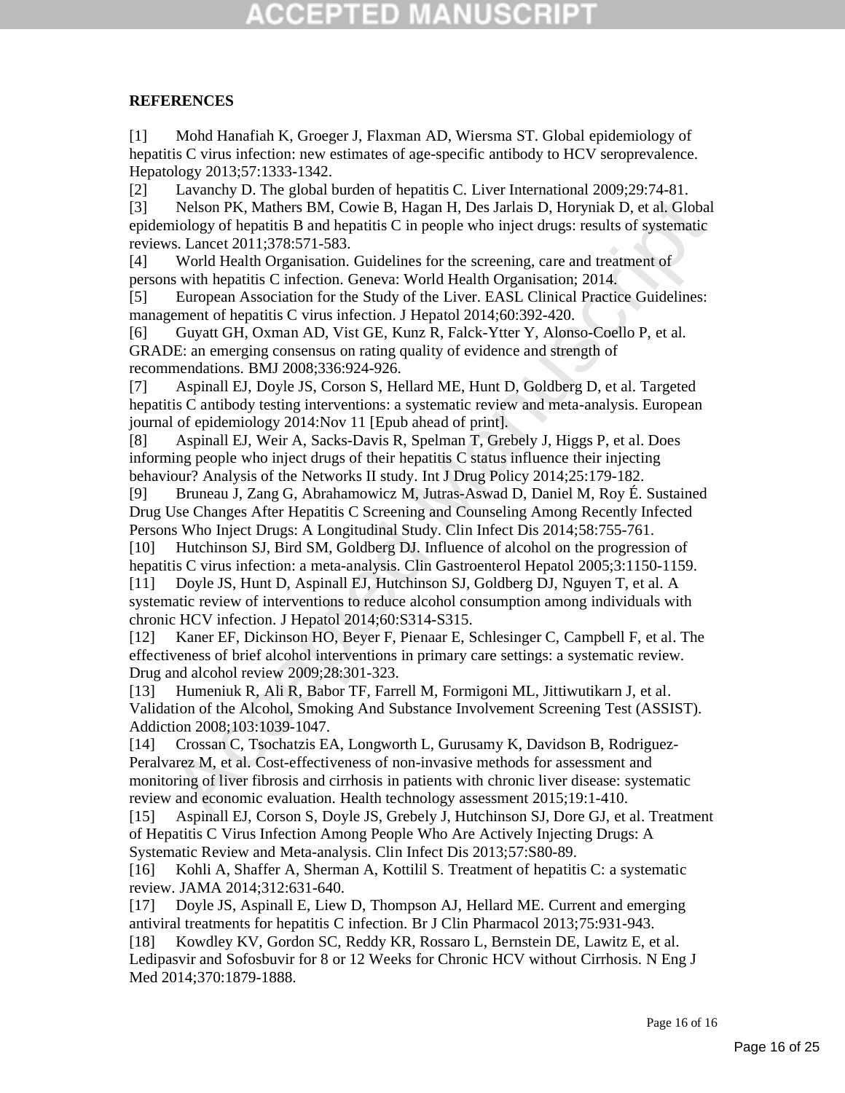## CGEPTED MA

#### **REFERENCES**

[1] Mohd Hanafiah K, Groeger J, Flaxman AD, Wiersma ST. Global epidemiology of hepatitis C virus infection: new estimates of age-specific antibody to HCV seroprevalence. Hepatology 2013;57:1333-1342.

[2] Lavanchy D. The global burden of hepatitis C. Liver International 2009;29:74-81.

[3] Nelson PK, Mathers BM, Cowie B, Hagan H, Des Jarlais D, Horyniak D, et al. Global epidemiology of hepatitis B and hepatitis C in people who inject drugs: results of systematic reviews. Lancet 2011;378:571-583.

[4] World Health Organisation. Guidelines for the screening, care and treatment of persons with hepatitis C infection. Geneva: World Health Organisation; 2014.

[5] European Association for the Study of the Liver. EASL Clinical Practice Guidelines: management of hepatitis C virus infection. J Hepatol 2014;60:392-420.

[6] Guyatt GH, Oxman AD, Vist GE, Kunz R, Falck-Ytter Y, Alonso-Coello P, et al. GRADE: an emerging consensus on rating quality of evidence and strength of recommendations. BMJ 2008;336:924-926.

[7] Aspinall EJ, Doyle JS, Corson S, Hellard ME, Hunt D, Goldberg D, et al. Targeted hepatitis C antibody testing interventions: a systematic review and meta-analysis. European journal of epidemiology 2014:Nov 11 [Epub ahead of print].

[8] Aspinall EJ, Weir A, Sacks-Davis R, Spelman T, Grebely J, Higgs P, et al. Does informing people who inject drugs of their hepatitis C status influence their injecting behaviour? Analysis of the Networks II study. Int J Drug Policy 2014;25:179-182.

[9] Bruneau J, Zang G, Abrahamowicz M, Jutras-Aswad D, Daniel M, Roy É. Sustained Drug Use Changes After Hepatitis C Screening and Counseling Among Recently Infected Persons Who Inject Drugs: A Longitudinal Study. Clin Infect Dis 2014;58:755-761.

[10] Hutchinson SJ, Bird SM, Goldberg DJ. Influence of alcohol on the progression of hepatitis C virus infection: a meta-analysis. Clin Gastroenterol Hepatol 2005;3:1150-1159.

[11] Doyle JS, Hunt D, Aspinall EJ, Hutchinson SJ, Goldberg DJ, Nguyen T, et al. A systematic review of interventions to reduce alcohol consumption among individuals with chronic HCV infection. J Hepatol 2014;60:S314-S315.

[12] Kaner EF, Dickinson HO, Beyer F, Pienaar E, Schlesinger C, Campbell F, et al. The effectiveness of brief alcohol interventions in primary care settings: a systematic review. Drug and alcohol review 2009;28:301-323.

[13] Humeniuk R, Ali R, Babor TF, Farrell M, Formigoni ML, Jittiwutikarn J, et al. Validation of the Alcohol, Smoking And Substance Involvement Screening Test (ASSIST). Addiction 2008;103:1039-1047.

Nelson PK, Mathers BM, Cowie B, Hugan H, Des Jarhais D, Horyniak D, et al. Global<br>niology of hepatitis C in people who inject drugs: results of systematic<br>indopy of hepatitis C in people who inject drugs: results of system [14] Crossan C, Tsochatzis EA, Longworth L, Gurusamy K, Davidson B, Rodriguez-Peralvarez M, et al. Cost-effectiveness of non-invasive methods for assessment and monitoring of liver fibrosis and cirrhosis in patients with chronic liver disease: systematic review and economic evaluation. Health technology assessment 2015;19:1-410.

[15] Aspinall EJ, Corson S, Doyle JS, Grebely J, Hutchinson SJ, Dore GJ, et al. Treatment of Hepatitis C Virus Infection Among People Who Are Actively Injecting Drugs: A Systematic Review and Meta-analysis. Clin Infect Dis 2013;57:S80-89.

[16] Kohli A, Shaffer A, Sherman A, Kottilil S. Treatment of hepatitis C: a systematic review. JAMA 2014;312:631-640.

[17] Doyle JS, Aspinall E, Liew D, Thompson AJ, Hellard ME. Current and emerging antiviral treatments for hepatitis C infection. Br J Clin Pharmacol 2013;75:931-943.

[18] Kowdley KV, Gordon SC, Reddy KR, Rossaro L, Bernstein DE, Lawitz E, et al. Ledipasvir and Sofosbuvir for 8 or 12 Weeks for Chronic HCV without Cirrhosis. N Eng J Med 2014;370:1879-1888.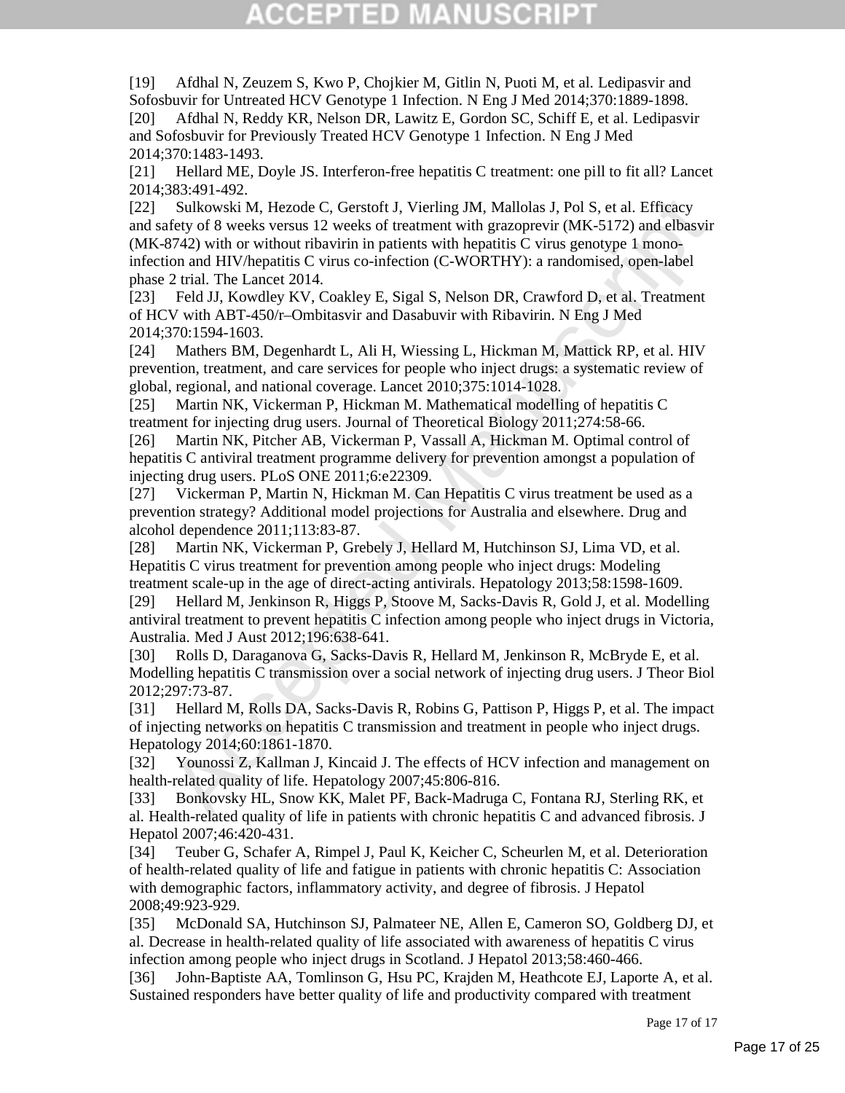[19] Afdhal N, Zeuzem S, Kwo P, Chojkier M, Gitlin N, Puoti M, et al. Ledipasvir and Sofosbuvir for Untreated HCV Genotype 1 Infection. N Eng J Med 2014;370:1889-1898. [20] Afdhal N, Reddy KR, Nelson DR, Lawitz E, Gordon SC, Schiff E, et al. Ledipasvir and Sofosbuvir for Previously Treated HCV Genotype 1 Infection. N Eng J Med 2014;370:1483-1493.

[21] Hellard ME, Doyle JS. Interferon-free hepatitis C treatment: one pill to fit all? Lancet 2014;383:491-492.

Sulkowski M, Hezode C, Gerstoft J, Vierling JM, Mallolas J, Pol S, et al. Efficacy<br>
Sulkowski M, Hezode C, Gerstoft I, Vierling JM, Mallolas J, Pol S, et al. Efficacy<br>
org Weeks versus 22 weeks of retatment with grazopevir [22] Sulkowski M, Hezode C, Gerstoft J, Vierling JM, Mallolas J, Pol S, et al. Efficacy and safety of 8 weeks versus 12 weeks of treatment with grazoprevir (MK-5172) and elbasvir (MK-8742) with or without ribavirin in patients with hepatitis C virus genotype 1 monoinfection and HIV/hepatitis C virus co-infection (C-WORTHY): a randomised, open-label phase 2 trial. The Lancet 2014.

[23] Feld JJ, Kowdley KV, Coakley E, Sigal S, Nelson DR, Crawford D, et al. Treatment of HCV with ABT-450/r–Ombitasvir and Dasabuvir with Ribavirin. N Eng J Med 2014;370:1594-1603.

[24] Mathers BM, Degenhardt L, Ali H, Wiessing L, Hickman M, Mattick RP, et al. HIV prevention, treatment, and care services for people who inject drugs: a systematic review of global, regional, and national coverage. Lancet 2010;375:1014-1028.

[25] Martin NK, Vickerman P, Hickman M. Mathematical modelling of hepatitis C treatment for injecting drug users. Journal of Theoretical Biology 2011;274:58-66.

[26] Martin NK, Pitcher AB, Vickerman P, Vassall A, Hickman M. Optimal control of hepatitis C antiviral treatment programme delivery for prevention amongst a population of injecting drug users. PLoS ONE 2011;6:e22309.

[27] Vickerman P, Martin N, Hickman M. Can Hepatitis C virus treatment be used as a prevention strategy? Additional model projections for Australia and elsewhere. Drug and alcohol dependence 2011;113:83-87.

[28] Martin NK, Vickerman P, Grebely J, Hellard M, Hutchinson SJ, Lima VD, et al. Hepatitis C virus treatment for prevention among people who inject drugs: Modeling treatment scale-up in the age of direct-acting antivirals. Hepatology 2013;58:1598-1609.

[29] Hellard M, Jenkinson R, Higgs P, Stoove M, Sacks-Davis R, Gold J, et al. Modelling antiviral treatment to prevent hepatitis C infection among people who inject drugs in Victoria, Australia. Med J Aust 2012;196:638-641.

[30] Rolls D, Daraganova G, Sacks-Davis R, Hellard M, Jenkinson R, McBryde E, et al. Modelling hepatitis C transmission over a social network of injecting drug users. J Theor Biol 2012;297:73-87.

[31] Hellard M, Rolls DA, Sacks-Davis R, Robins G, Pattison P, Higgs P, et al. The impact of injecting networks on hepatitis C transmission and treatment in people who inject drugs. Hepatology 2014;60:1861-1870.

[32] Younossi Z, Kallman J, Kincaid J. The effects of HCV infection and management on health-related quality of life. Hepatology 2007;45:806-816.

[33] Bonkovsky HL, Snow KK, Malet PF, Back-Madruga C, Fontana RJ, Sterling RK, et al. Health-related quality of life in patients with chronic hepatitis C and advanced fibrosis. J Hepatol 2007;46:420-431.

[34] Teuber G, Schafer A, Rimpel J, Paul K, Keicher C, Scheurlen M, et al. Deterioration of health-related quality of life and fatigue in patients with chronic hepatitis C: Association with demographic factors, inflammatory activity, and degree of fibrosis. J Hepatol 2008;49:923-929.

[35] McDonald SA, Hutchinson SJ, Palmateer NE, Allen E, Cameron SO, Goldberg DJ, et al. Decrease in health-related quality of life associated with awareness of hepatitis C virus infection among people who inject drugs in Scotland. J Hepatol 2013;58:460-466.

[36] John-Baptiste AA, Tomlinson G, Hsu PC, Krajden M, Heathcote EJ, Laporte A, et al. Sustained responders have better quality of life and productivity compared with treatment

Page 17 of 17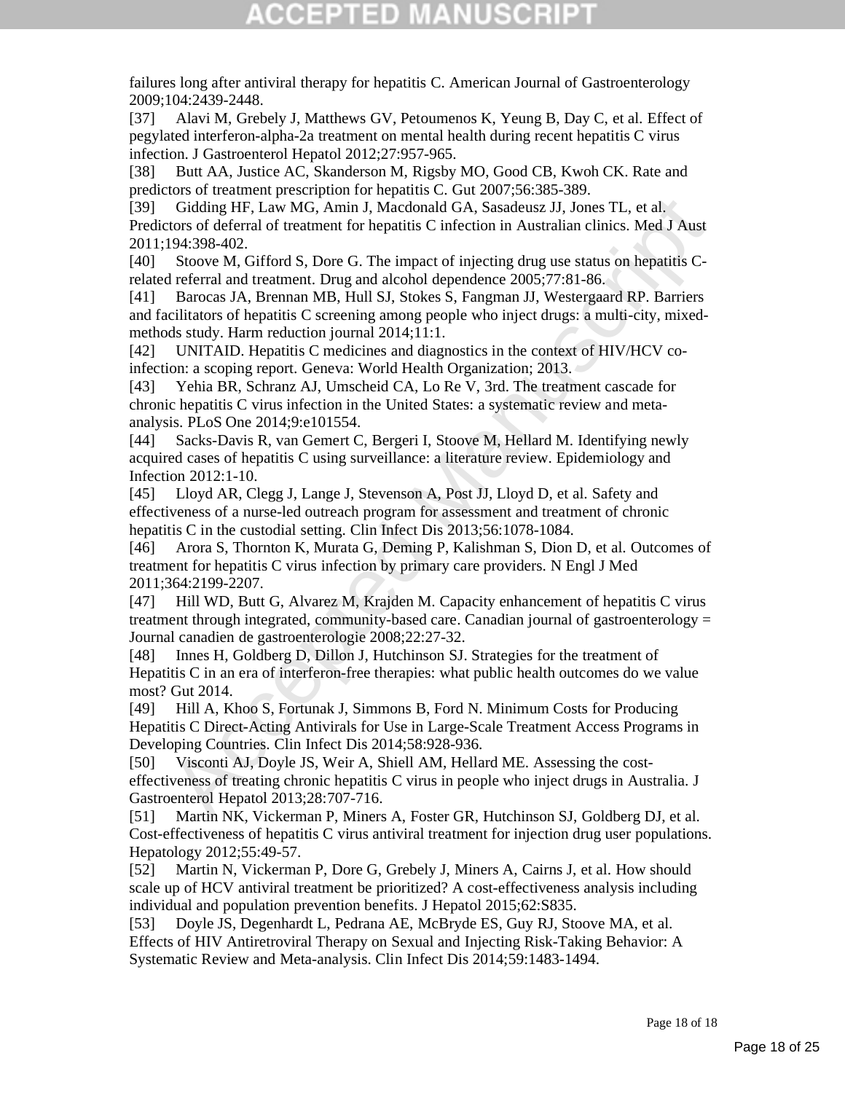failures long after antiviral therapy for hepatitis C. American Journal of Gastroenterology 2009;104:2439-2448.

[37] Alavi M, Grebely J, Matthews GV, Petoumenos K, Yeung B, Day C, et al. Effect of pegylated interferon-alpha-2a treatment on mental health during recent hepatitis C virus infection. J Gastroenterol Hepatol 2012;27:957-965.

[38] Butt AA, Justice AC, Skanderson M, Rigsby MO, Good CB, Kwoh CK. Rate and predictors of treatment prescription for hepatitis C. Gut 2007;56:385-389.

[39] Gidding HF, Law MG, Amin J, Macdonald GA, Sasadeusz JJ, Jones TL, et al. Predictors of deferral of treatment for hepatitis C infection in Australian clinics. Med J Aust 2011;194:398-402.

[40] Stoove M, Gifford S, Dore G. The impact of injecting drug use status on hepatitis Crelated referral and treatment. Drug and alcohol dependence 2005;77:81-86.

Gridding HF, Law MG, Amin J, Macdomald GA, Sassadeuxe JJ, Jones TL, et al.<br>
Gridding HF, Law MG, Amin J, Macdomald GA, Sassadeuxe JJ, Jones TL, et al.<br>
2016 (1947 and O frequence of the prime of the prime of migring three [41] Barocas JA, Brennan MB, Hull SJ, Stokes S, Fangman JJ, Westergaard RP. Barriers and facilitators of hepatitis C screening among people who inject drugs: a multi-city, mixedmethods study. Harm reduction journal 2014;11:1.

[42] UNITAID. Hepatitis C medicines and diagnostics in the context of HIV/HCV coinfection: a scoping report. Geneva: World Health Organization; 2013.

[43] Yehia BR, Schranz AJ, Umscheid CA, Lo Re V, 3rd. The treatment cascade for chronic hepatitis C virus infection in the United States: a systematic review and metaanalysis. PLoS One 2014;9:e101554.

[44] Sacks-Davis R, van Gemert C, Bergeri I, Stoove M, Hellard M. Identifying newly acquired cases of hepatitis C using surveillance: a literature review. Epidemiology and Infection 2012:1-10.

[45] Lloyd AR, Clegg J, Lange J, Stevenson A, Post JJ, Lloyd D, et al. Safety and effectiveness of a nurse-led outreach program for assessment and treatment of chronic hepatitis C in the custodial setting. Clin Infect Dis 2013;56:1078-1084.

[46] Arora S, Thornton K, Murata G, Deming P, Kalishman S, Dion D, et al. Outcomes of treatment for hepatitis C virus infection by primary care providers. N Engl J Med 2011;364:2199-2207.

[47] Hill WD, Butt G, Alvarez M, Krajden M. Capacity enhancement of hepatitis C virus treatment through integrated, community-based care. Canadian journal of gastroenterology = Journal canadien de gastroenterologie 2008;22:27-32.

[48] Innes H, Goldberg D, Dillon J, Hutchinson SJ. Strategies for the treatment of Hepatitis C in an era of interferon-free therapies: what public health outcomes do we value most? Gut 2014.

[49] Hill A, Khoo S, Fortunak J, Simmons B, Ford N. Minimum Costs for Producing Hepatitis C Direct-Acting Antivirals for Use in Large-Scale Treatment Access Programs in Developing Countries. Clin Infect Dis 2014;58:928-936.

[50] Visconti AJ, Doyle JS, Weir A, Shiell AM, Hellard ME. Assessing the costeffectiveness of treating chronic hepatitis C virus in people who inject drugs in Australia. J Gastroenterol Hepatol 2013;28:707-716.

[51] Martin NK, Vickerman P, Miners A, Foster GR, Hutchinson SJ, Goldberg DJ, et al. Cost-effectiveness of hepatitis C virus antiviral treatment for injection drug user populations. Hepatology 2012;55:49-57.

[52] Martin N, Vickerman P, Dore G, Grebely J, Miners A, Cairns J, et al. How should scale up of HCV antiviral treatment be prioritized? A cost-effectiveness analysis including individual and population prevention benefits. J Hepatol 2015;62:S835.

[53] Doyle JS, Degenhardt L, Pedrana AE, McBryde ES, Guy RJ, Stoove MA, et al. Effects of HIV Antiretroviral Therapy on Sexual and Injecting Risk-Taking Behavior: A Systematic Review and Meta-analysis. Clin Infect Dis 2014;59:1483-1494.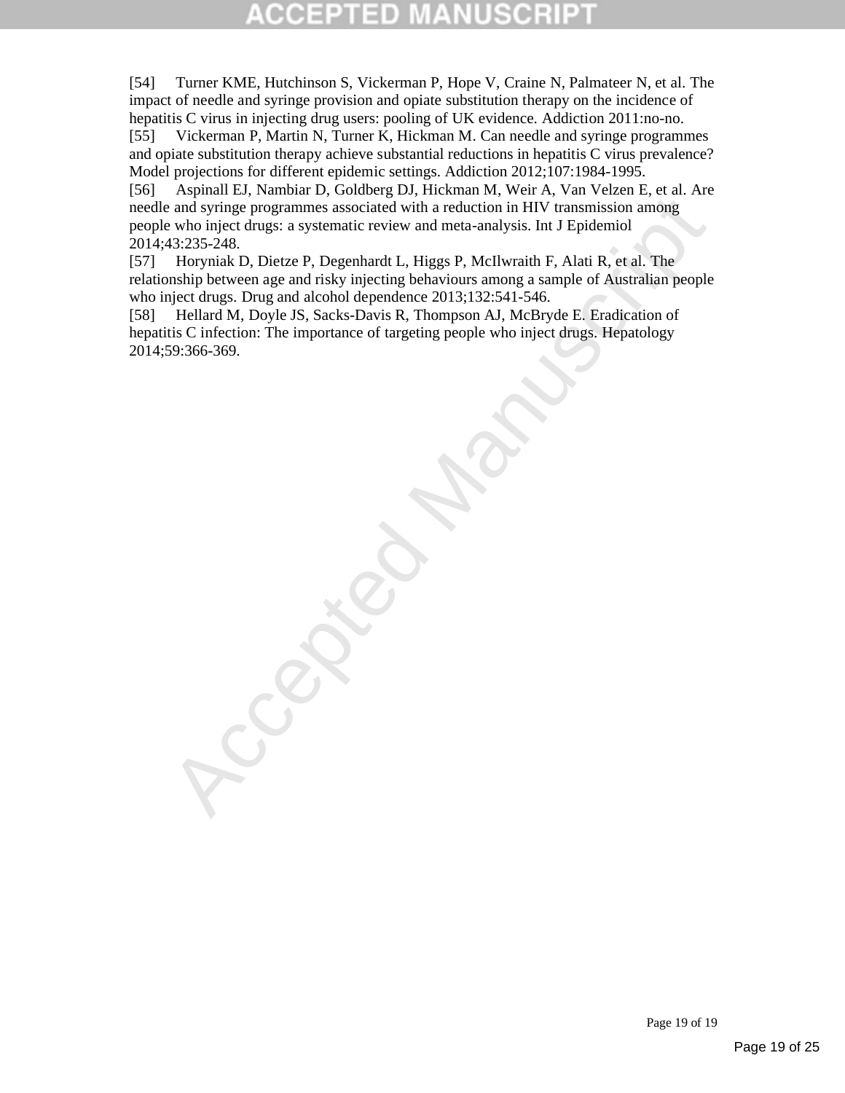## 3D

[54] Turner KME, Hutchinson S, Vickerman P, Hope V, Craine N, Palmateer N, et al. The impact of needle and syringe provision and opiate substitution therapy on the incidence of hepatitis C virus in injecting drug users: pooling of UK evidence. Addiction 2011:no-no.

[55] Vickerman P, Martin N, Turner K, Hickman M. Can needle and syringe programmes and opiate substitution therapy achieve substantial reductions in hepatitis C virus prevalence? Model projections for different epidemic settings. Addiction 2012;107:1984-1995.

and syringe programmes associated with a reduction in HIV transmission among<br>and syringe programmes associated with a reduction in HIV transmission among<br>43:235.248.<br>Horyniak D, Dietze P, Degenhardt L, Higgs P, McIlwariah [56] Aspinall EJ, Nambiar D, Goldberg DJ, Hickman M, Weir A, Van Velzen E, et al. Are needle and syringe programmes associated with a reduction in HIV transmission among people who inject drugs: a systematic review and meta-analysis. Int J Epidemiol 2014;43:235-248.

[57] Horyniak D, Dietze P, Degenhardt L, Higgs P, McIlwraith F, Alati R, et al. The relationship between age and risky injecting behaviours among a sample of Australian people who inject drugs. Drug and alcohol dependence 2013;132:541-546.

[58] Hellard M, Doyle JS, Sacks-Davis R, Thompson AJ, McBryde E. Eradication of hepatitis C infection: The importance of targeting people who inject drugs. Hepatology 2014;59:366-369.

Page 19 of 19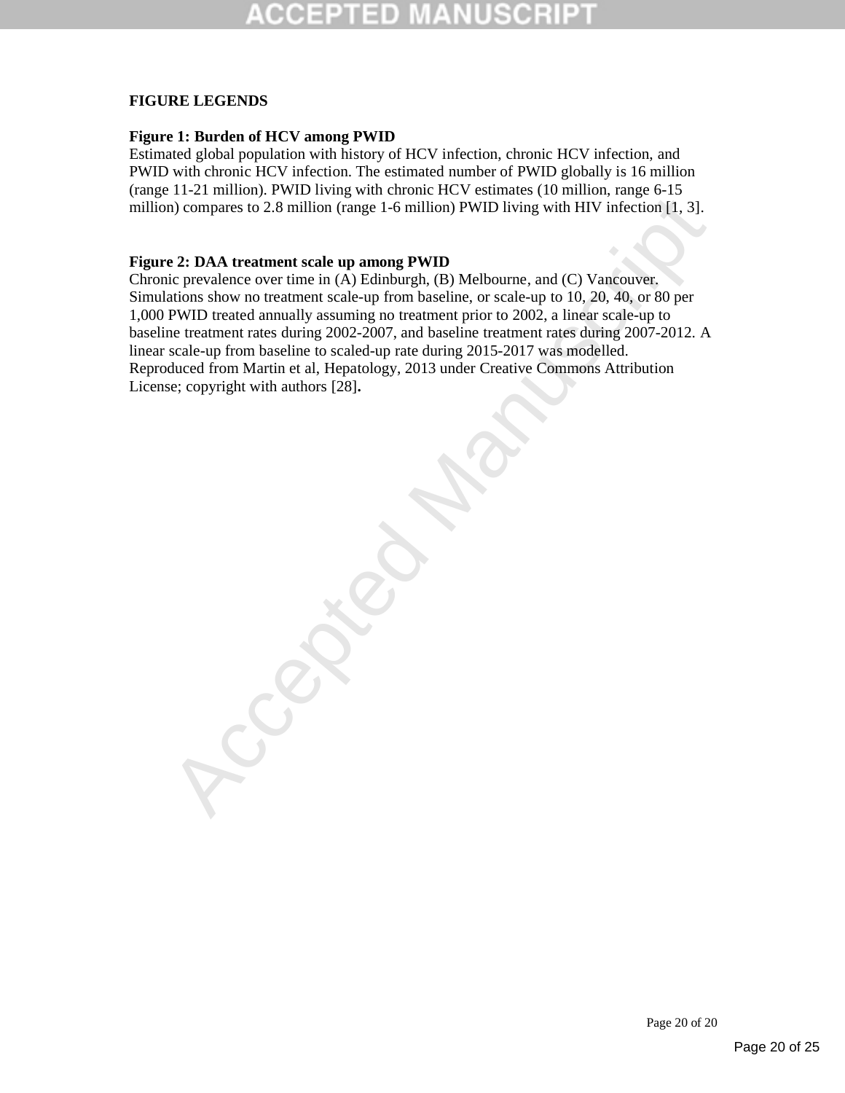#### **FIGURE LEGENDS**

#### **Figure 1: Burden of HCV among PWID**

Estimated global population with history of HCV infection, chronic HCV infection, and PWID with chronic HCV infection. The estimated number of PWID globally is 16 million (range 11-21 million). PWID living with chronic HCV estimates (10 million, range 6-15 million) compares to 2.8 million (range 1-6 million) PWID living with HIV infection [1, 3].

#### **Figure 2: DAA treatment scale up among PWID**

The comparison of the manner of the matter of the matter of the comparison of the comparison of the capture of the comparison of the comparison of the comparison of the comparison of the comparison of the prevalence over t Chronic prevalence over time in (A) Edinburgh, (B) Melbourne, and (C) Vancouver. Simulations show no treatment scale-up from baseline, or scale-up to 10, 20, 40, or 80 per 1,000 PWID treated annually assuming no treatment prior to 2002, a linear scale-up to baseline treatment rates during 2002-2007, and baseline treatment rates during 2007-2012. A linear scale-up from baseline to scaled-up rate during 2015-2017 was modelled. Reproduced from Martin et al, Hepatology, 2013 under Creative Commons Attribution License; copyright with authors [28]**.**

Page 20 of 20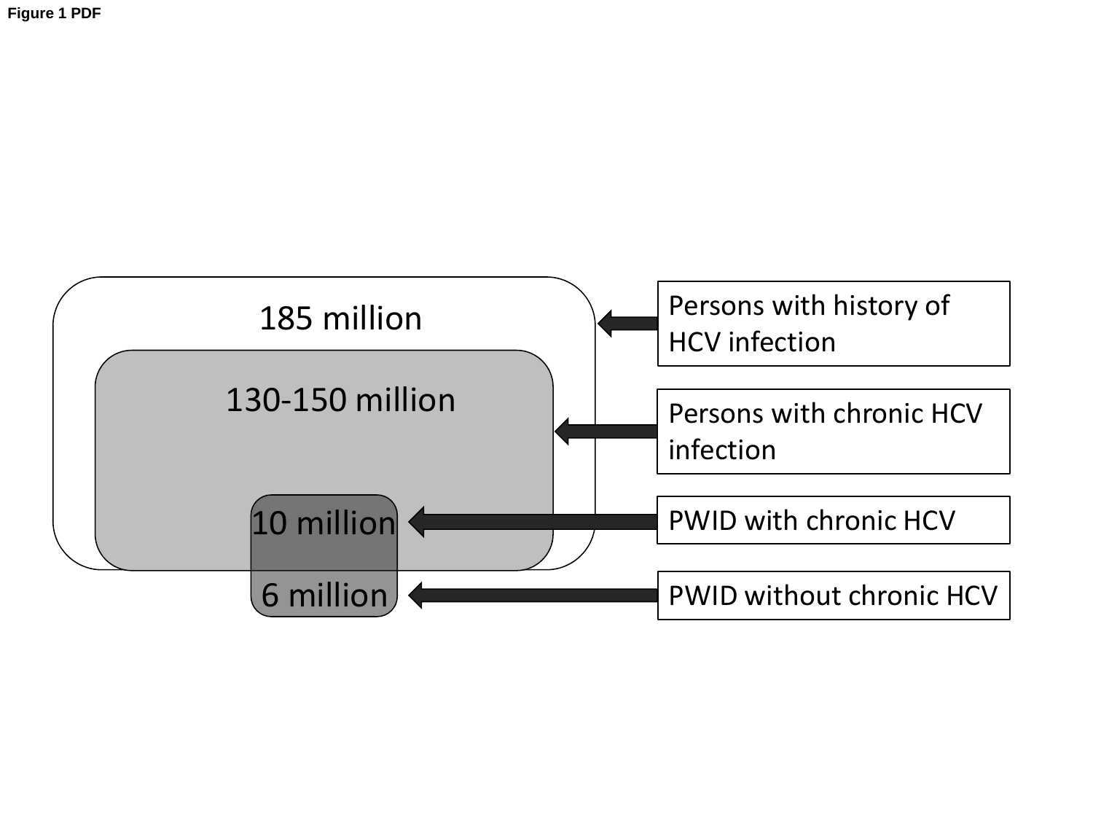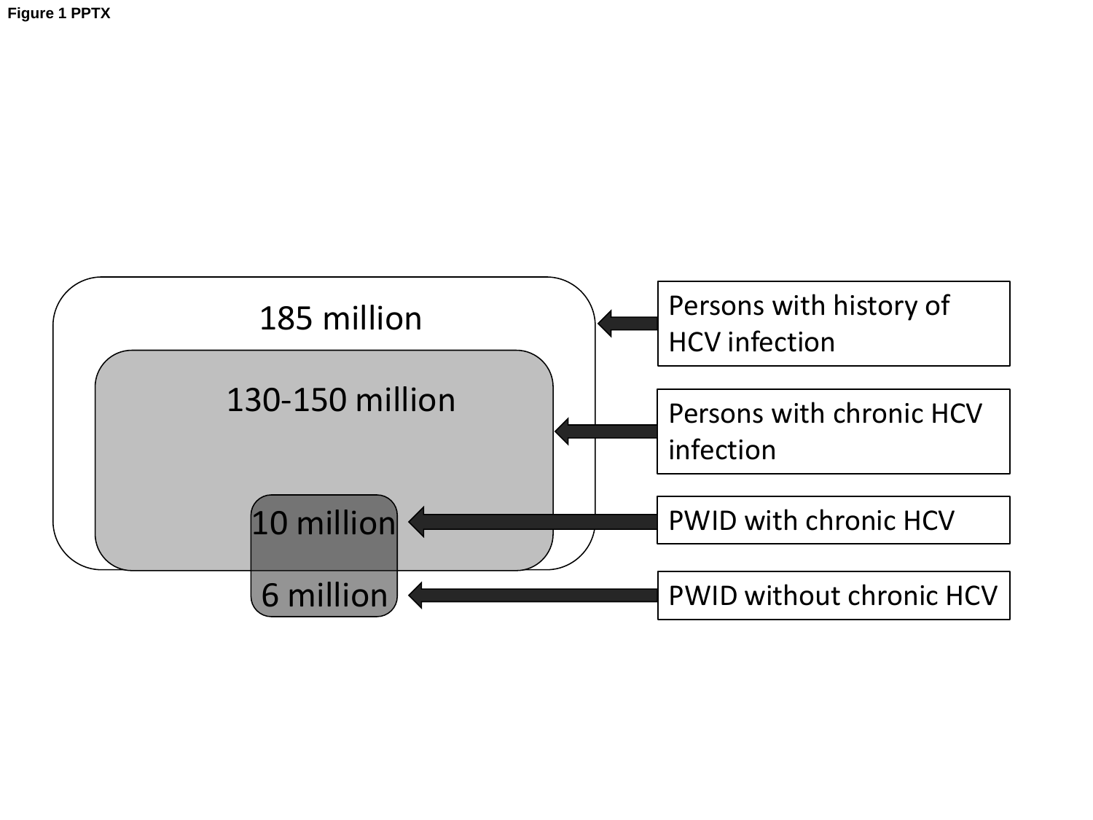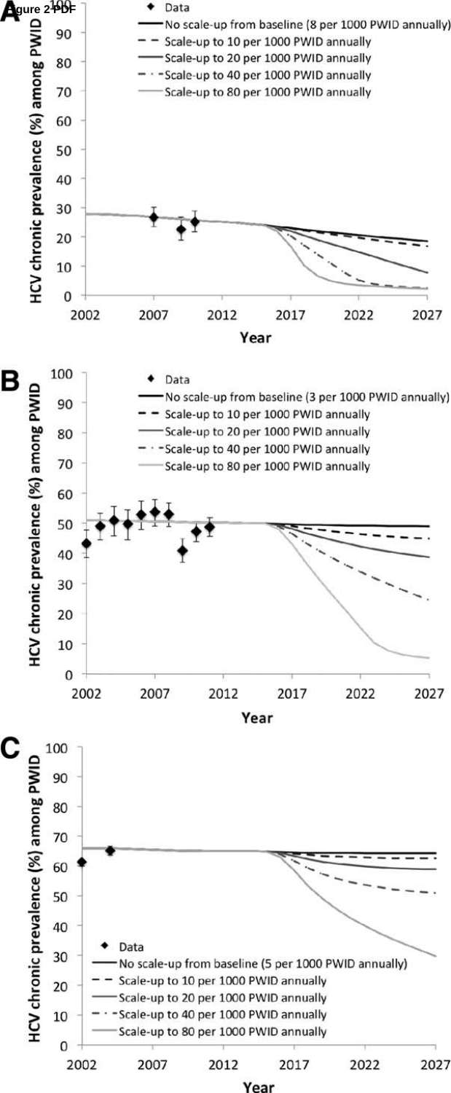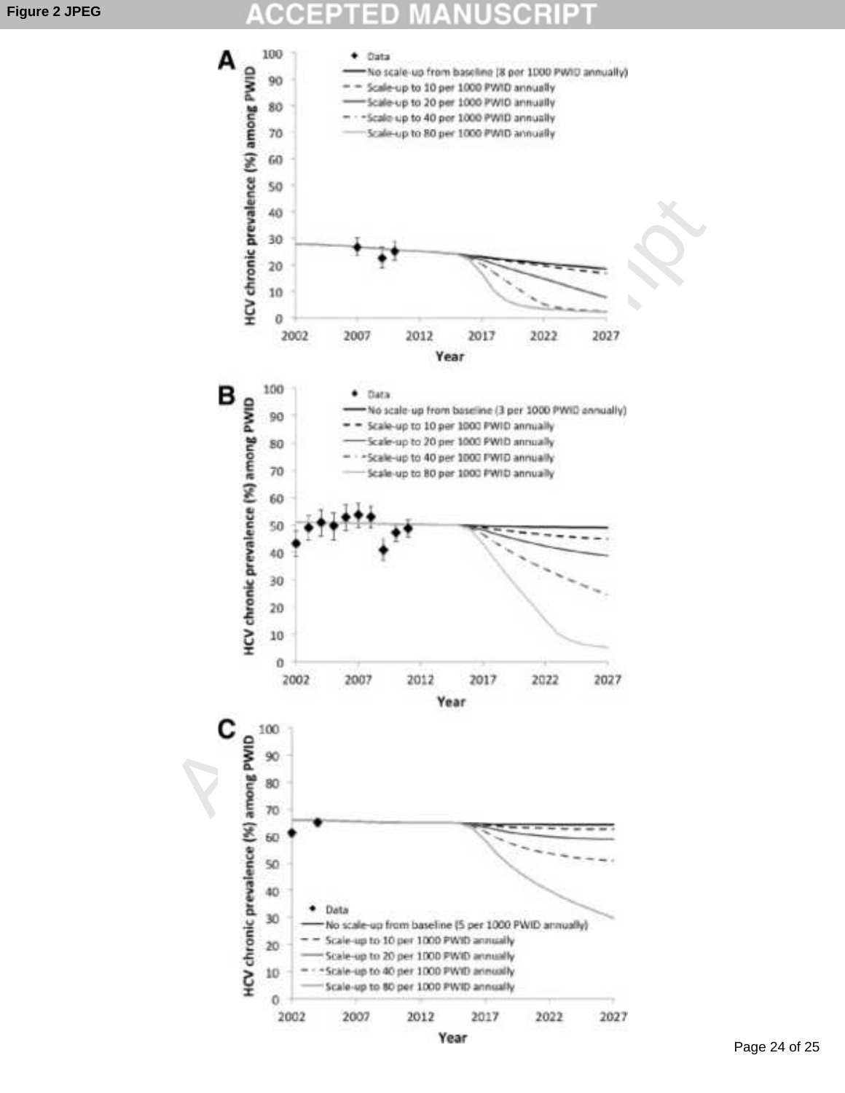#### **Figure 2 JPEG**

#### 0 D  $\bar{a}$